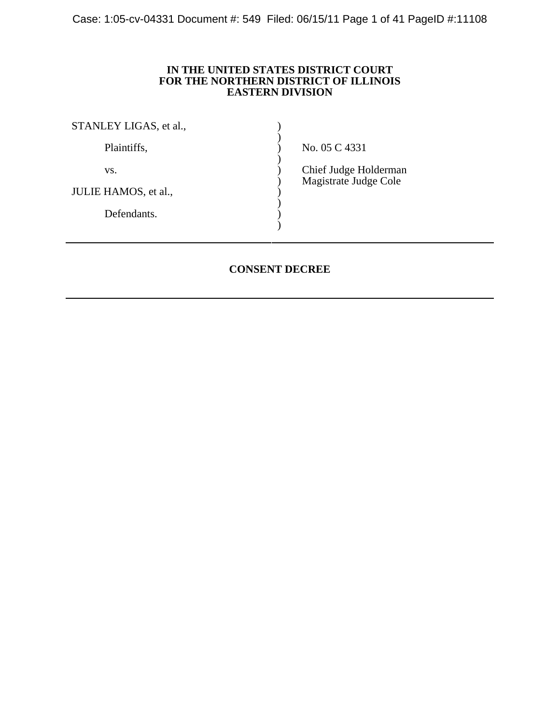Case: 1:05-cv-04331 Document #: 549 Filed: 06/15/11 Page 1 of 41 PageID #:11108

# **IN THE UNITED STATES DISTRICT COURT FOR THE NORTHERN DISTRICT OF ILLINOIS EASTERN DIVISION**

| STANLEY LIGAS, et al., |                                                |
|------------------------|------------------------------------------------|
| Plaintiffs,            | No. 05 C 4331                                  |
| VS.                    | Chief Judge Holderman<br>Magistrate Judge Cole |
| JULIE HAMOS, et al.,   |                                                |
| Defendants.            |                                                |
|                        |                                                |

# **CONSENT DECREE**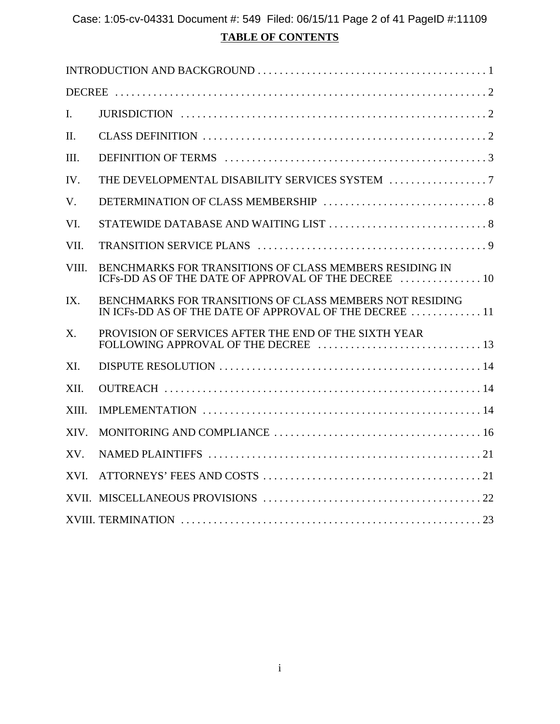# **TABLE OF CONTENTS** Case: 1:05-cv-04331 Document #: 549 Filed: 06/15/11 Page 2 of 41 PageID #:11109

| I.          |                                                                                                                                                  |
|-------------|--------------------------------------------------------------------------------------------------------------------------------------------------|
| II.         |                                                                                                                                                  |
| III.        |                                                                                                                                                  |
| IV.         |                                                                                                                                                  |
| $V_{\cdot}$ |                                                                                                                                                  |
| VI.         |                                                                                                                                                  |
| VII.        |                                                                                                                                                  |
| VIII.       | BENCHMARKS FOR TRANSITIONS OF CLASS MEMBERS RESIDING IN<br>ICFs-DD AS OF THE DATE OF APPROVAL OF THE DECREE  10                                  |
| IX.         | BENCHMARKS FOR TRANSITIONS OF CLASS MEMBERS NOT RESIDING<br>IN ICFs-DD AS OF THE DATE OF APPROVAL OF THE DECREE $\ldots \ldots \ldots \ldots 11$ |
| X.          | PROVISION OF SERVICES AFTER THE END OF THE SIXTH YEAR                                                                                            |
| XI.         |                                                                                                                                                  |
| XII.        |                                                                                                                                                  |
| XIII.       |                                                                                                                                                  |
| XIV.        |                                                                                                                                                  |
| XV.         |                                                                                                                                                  |
| XVI.        |                                                                                                                                                  |
|             |                                                                                                                                                  |
|             |                                                                                                                                                  |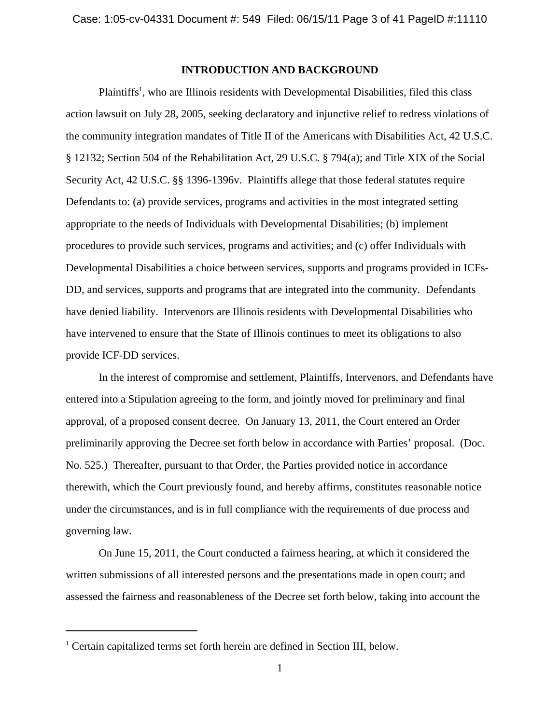#### **INTRODUCTION AND BACKGROUND**

Plaintiffs<sup>1</sup>, who are Illinois residents with Developmental Disabilities, filed this class action lawsuit on July 28, 2005, seeking declaratory and injunctive relief to redress violations of the community integration mandates of Title II of the Americans with Disabilities Act, 42 U.S.C. § 12132; Section 504 of the Rehabilitation Act, 29 U.S.C. § 794(a); and Title XIX of the Social Security Act, 42 U.S.C. §§ 1396-1396v. Plaintiffs allege that those federal statutes require Defendants to: (a) provide services, programs and activities in the most integrated setting appropriate to the needs of Individuals with Developmental Disabilities; (b) implement procedures to provide such services, programs and activities; and (c) offer Individuals with Developmental Disabilities a choice between services, supports and programs provided in ICFs-DD, and services, supports and programs that are integrated into the community. Defendants have denied liability. Intervenors are Illinois residents with Developmental Disabilities who have intervened to ensure that the State of Illinois continues to meet its obligations to also provide ICF-DD services.

In the interest of compromise and settlement, Plaintiffs, Intervenors, and Defendants have entered into a Stipulation agreeing to the form, and jointly moved for preliminary and final approval, of a proposed consent decree. On January 13, 2011, the Court entered an Order preliminarily approving the Decree set forth below in accordance with Parties' proposal. (Doc. No. 525.) Thereafter, pursuant to that Order, the Parties provided notice in accordance therewith, which the Court previously found, and hereby affirms, constitutes reasonable notice under the circumstances, and is in full compliance with the requirements of due process and governing law.

On June 15, 2011, the Court conducted a fairness hearing, at which it considered the written submissions of all interested persons and the presentations made in open court; and assessed the fairness and reasonableness of the Decree set forth below, taking into account the

<sup>&</sup>lt;sup>1</sup> Certain capitalized terms set forth herein are defined in Section III, below.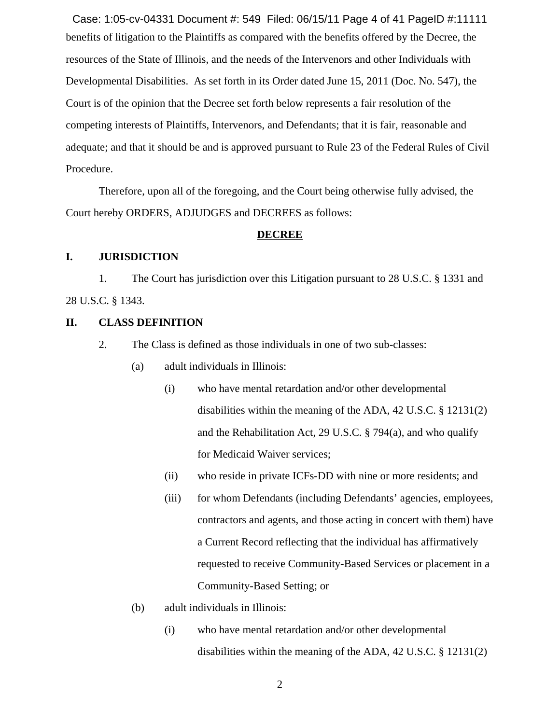benefits of litigation to the Plaintiffs as compared with the benefits offered by the Decree, the resources of the State of Illinois, and the needs of the Intervenors and other Individuals with Developmental Disabilities. As set forth in its Order dated June 15, 2011 (Doc. No. 547), the Court is of the opinion that the Decree set forth below represents a fair resolution of the competing interests of Plaintiffs, Intervenors, and Defendants; that it is fair, reasonable and adequate; and that it should be and is approved pursuant to Rule 23 of the Federal Rules of Civil Procedure. Case: 1:05-cv-04331 Document #: 549 Filed: 06/15/11 Page 4 of 41 PageID #:11111

Therefore, upon all of the foregoing, and the Court being otherwise fully advised, the Court hereby ORDERS, ADJUDGES and DECREES as follows:

#### **DECREE**

#### **I. JURISDICTION**

1. The Court has jurisdiction over this Litigation pursuant to 28 U.S.C. § 1331 and 28 U.S.C. § 1343.

# **II. CLASS DEFINITION**

- 2. The Class is defined as those individuals in one of two sub-classes:
	- (a) adult individuals in Illinois:
		- (i) who have mental retardation and/or other developmental disabilities within the meaning of the ADA, 42 U.S.C. § 12131(2) and the Rehabilitation Act, 29 U.S.C. § 794(a), and who qualify for Medicaid Waiver services;
		- (ii) who reside in private ICFs-DD with nine or more residents; and
		- (iii) for whom Defendants (including Defendants' agencies, employees, contractors and agents, and those acting in concert with them) have a Current Record reflecting that the individual has affirmatively requested to receive Community-Based Services or placement in a Community-Based Setting; or
	- (b) adult individuals in Illinois:
		- (i) who have mental retardation and/or other developmental disabilities within the meaning of the ADA, 42 U.S.C. § 12131(2)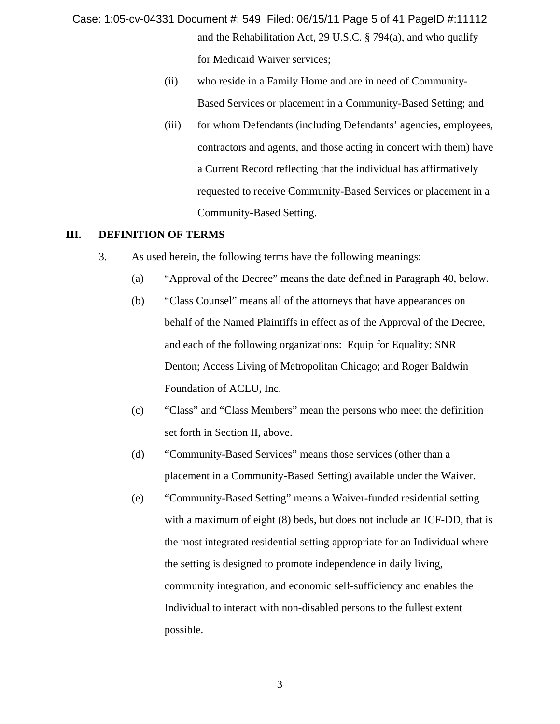- and the Rehabilitation Act, 29 U.S.C. § 794(a), and who qualify for Medicaid Waiver services; Case: 1:05-cv-04331 Document #: 549 Filed: 06/15/11 Page 5 of 41 PageID #:11112
	- (ii) who reside in a Family Home and are in need of Community-Based Services or placement in a Community-Based Setting; and
	- (iii) for whom Defendants (including Defendants' agencies, employees, contractors and agents, and those acting in concert with them) have a Current Record reflecting that the individual has affirmatively requested to receive Community-Based Services or placement in a Community-Based Setting.

#### **III. DEFINITION OF TERMS**

- 3. As used herein, the following terms have the following meanings:
	- (a) "Approval of the Decree" means the date defined in Paragraph 40, below.
	- (b) "Class Counsel" means all of the attorneys that have appearances on behalf of the Named Plaintiffs in effect as of the Approval of the Decree, and each of the following organizations: Equip for Equality; SNR Denton; Access Living of Metropolitan Chicago; and Roger Baldwin Foundation of ACLU, Inc.
	- (c) "Class" and "Class Members" mean the persons who meet the definition set forth in Section II, above.
	- (d) "Community-Based Services" means those services (other than a placement in a Community-Based Setting) available under the Waiver.
	- (e) "Community-Based Setting" means a Waiver-funded residential setting with a maximum of eight (8) beds, but does not include an ICF-DD, that is the most integrated residential setting appropriate for an Individual where the setting is designed to promote independence in daily living, community integration, and economic self-sufficiency and enables the Individual to interact with non-disabled persons to the fullest extent possible.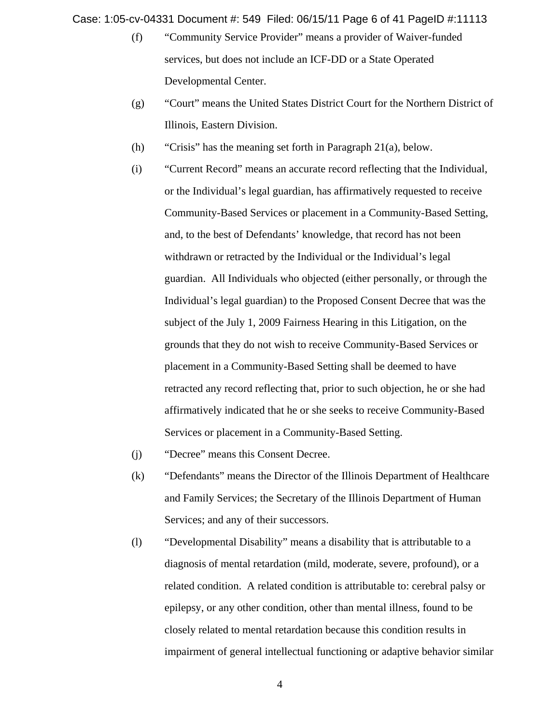Case: 1:05-cv-04331 Document #: 549 Filed: 06/15/11 Page 6 of 41 PageID #:11113

- (f) "Community Service Provider" means a provider of Waiver-funded services, but does not include an ICF-DD or a State Operated Developmental Center.
- (g) "Court" means the United States District Court for the Northern District of Illinois, Eastern Division.
- (h) "Crisis" has the meaning set forth in Paragraph 21(a), below.
- (i) "Current Record" means an accurate record reflecting that the Individual, or the Individual's legal guardian, has affirmatively requested to receive Community-Based Services or placement in a Community-Based Setting, and, to the best of Defendants' knowledge, that record has not been withdrawn or retracted by the Individual or the Individual's legal guardian. All Individuals who objected (either personally, or through the Individual's legal guardian) to the Proposed Consent Decree that was the subject of the July 1, 2009 Fairness Hearing in this Litigation, on the grounds that they do not wish to receive Community-Based Services or placement in a Community-Based Setting shall be deemed to have retracted any record reflecting that, prior to such objection, he or she had affirmatively indicated that he or she seeks to receive Community-Based Services or placement in a Community-Based Setting.
- (j) "Decree" means this Consent Decree.
- (k) "Defendants" means the Director of the Illinois Department of Healthcare and Family Services; the Secretary of the Illinois Department of Human Services; and any of their successors.
- (l) "Developmental Disability" means a disability that is attributable to a diagnosis of mental retardation (mild, moderate, severe, profound), or a related condition. A related condition is attributable to: cerebral palsy or epilepsy, or any other condition, other than mental illness, found to be closely related to mental retardation because this condition results in impairment of general intellectual functioning or adaptive behavior similar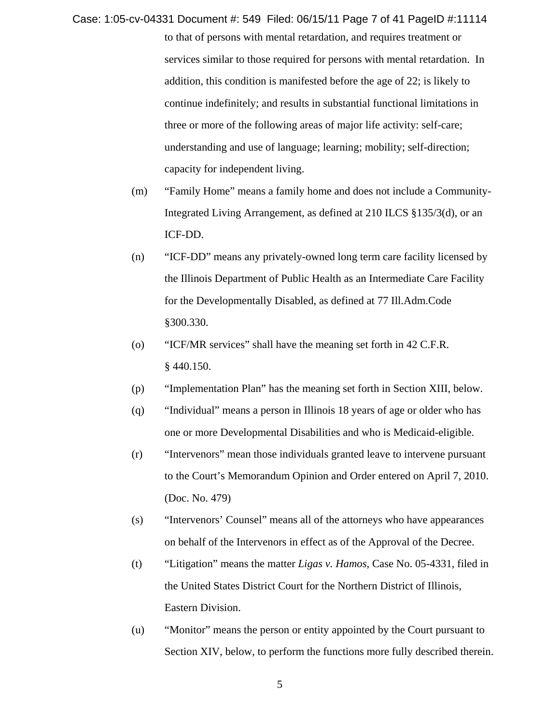- to that of persons with mental retardation, and requires treatment or services similar to those required for persons with mental retardation. In addition, this condition is manifested before the age of 22; is likely to continue indefinitely; and results in substantial functional limitations in three or more of the following areas of major life activity: self-care; understanding and use of language; learning; mobility; self-direction; capacity for independent living. Case: 1:05-cv-04331 Document #: 549 Filed: 06/15/11 Page 7 of 41 PageID #:11114
	- (m) "Family Home" means a family home and does not include a Community-Integrated Living Arrangement, as defined at 210 ILCS §135/3(d), or an ICF-DD.
	- (n) "ICF-DD" means any privately-owned long term care facility licensed by the Illinois Department of Public Health as an Intermediate Care Facility for the Developmentally Disabled, as defined at 77 Ill.Adm.Code §300.330.
	- (o) "ICF/MR services" shall have the meaning set forth in 42 C.F.R. § 440.150.
	- (p) "Implementation Plan" has the meaning set forth in Section XIII, below.
	- (q) "Individual" means a person in Illinois 18 years of age or older who has one or more Developmental Disabilities and who is Medicaid-eligible.
	- (r) "Intervenors" mean those individuals granted leave to intervene pursuant to the Court's Memorandum Opinion and Order entered on April 7, 2010. (Doc. No. 479)
	- (s) "Intervenors' Counsel" means all of the attorneys who have appearances on behalf of the Intervenors in effect as of the Approval of the Decree.
	- (t) "Litigation" means the matter *Ligas v. Hamos*, Case No. 05-4331, filed in the United States District Court for the Northern District of Illinois, Eastern Division.
	- (u) "Monitor" means the person or entity appointed by the Court pursuant to Section XIV, below, to perform the functions more fully described therein.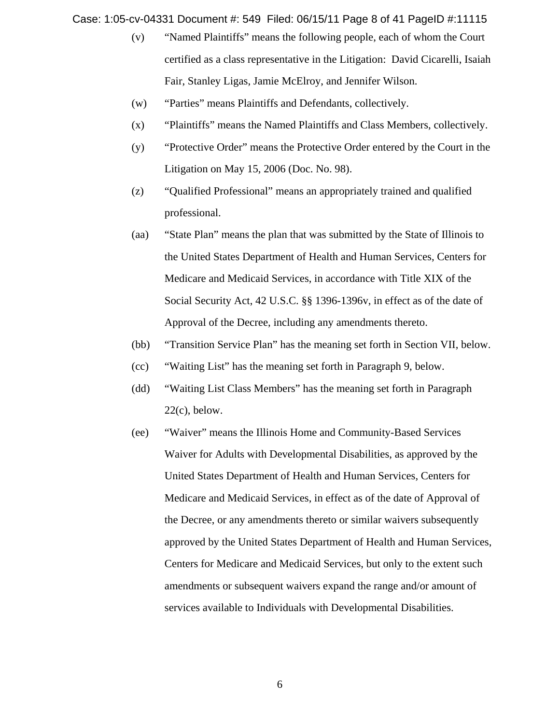Case: 1:05-cv-04331 Document #: 549 Filed: 06/15/11 Page 8 of 41 PageID #:11115

- (v) "Named Plaintiffs" means the following people, each of whom the Court certified as a class representative in the Litigation: David Cicarelli, Isaiah Fair, Stanley Ligas, Jamie McElroy, and Jennifer Wilson.
- (w) "Parties" means Plaintiffs and Defendants, collectively.
- (x) "Plaintiffs" means the Named Plaintiffs and Class Members, collectively.
- (y) "Protective Order" means the Protective Order entered by the Court in the Litigation on May 15, 2006 (Doc. No. 98).
- (z) "Qualified Professional" means an appropriately trained and qualified professional.
- (aa) "State Plan" means the plan that was submitted by the State of Illinois to the United States Department of Health and Human Services, Centers for Medicare and Medicaid Services, in accordance with Title XIX of the Social Security Act, 42 U.S.C. §§ 1396-1396v, in effect as of the date of Approval of the Decree, including any amendments thereto.
- (bb) "Transition Service Plan" has the meaning set forth in Section VII, below.
- (cc) "Waiting List" has the meaning set forth in Paragraph 9, below.
- (dd) "Waiting List Class Members" has the meaning set forth in Paragraph  $22(c)$ , below.
- (ee) "Waiver" means the Illinois Home and Community-Based Services Waiver for Adults with Developmental Disabilities, as approved by the United States Department of Health and Human Services, Centers for Medicare and Medicaid Services, in effect as of the date of Approval of the Decree, or any amendments thereto or similar waivers subsequently approved by the United States Department of Health and Human Services, Centers for Medicare and Medicaid Services, but only to the extent such amendments or subsequent waivers expand the range and/or amount of services available to Individuals with Developmental Disabilities.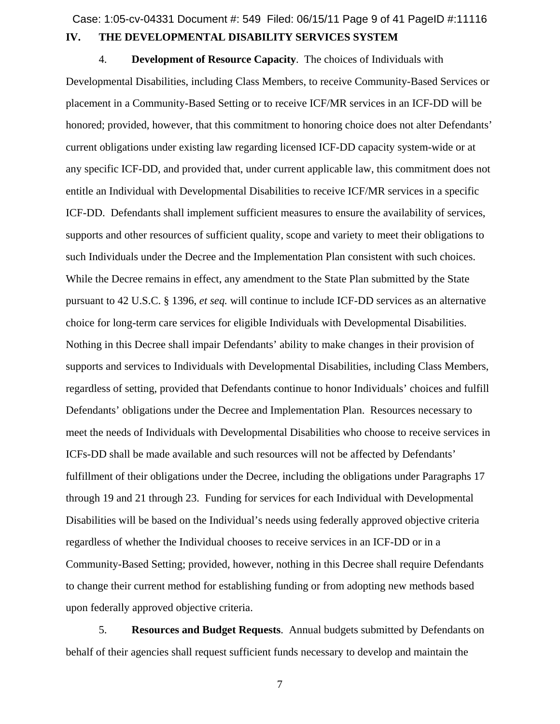# **IV. THE DEVELOPMENTAL DISABILITY SERVICES SYSTEM** Case: 1:05-cv-04331 Document #: 549 Filed: 06/15/11 Page 9 of 41 PageID #:11116

4. **Development of Resource Capacity**. The choices of Individuals with Developmental Disabilities, including Class Members, to receive Community-Based Services or placement in a Community-Based Setting or to receive ICF/MR services in an ICF-DD will be honored; provided, however, that this commitment to honoring choice does not alter Defendants' current obligations under existing law regarding licensed ICF-DD capacity system-wide or at any specific ICF-DD, and provided that, under current applicable law, this commitment does not entitle an Individual with Developmental Disabilities to receive ICF/MR services in a specific ICF-DD. Defendants shall implement sufficient measures to ensure the availability of services, supports and other resources of sufficient quality, scope and variety to meet their obligations to such Individuals under the Decree and the Implementation Plan consistent with such choices. While the Decree remains in effect, any amendment to the State Plan submitted by the State pursuant to 42 U.S.C. § 1396, *et seq.* will continue to include ICF-DD services as an alternative choice for long-term care services for eligible Individuals with Developmental Disabilities. Nothing in this Decree shall impair Defendants' ability to make changes in their provision of supports and services to Individuals with Developmental Disabilities, including Class Members, regardless of setting, provided that Defendants continue to honor Individuals' choices and fulfill Defendants' obligations under the Decree and Implementation Plan. Resources necessary to meet the needs of Individuals with Developmental Disabilities who choose to receive services in ICFs-DD shall be made available and such resources will not be affected by Defendants' fulfillment of their obligations under the Decree, including the obligations under Paragraphs 17 through 19 and 21 through 23. Funding for services for each Individual with Developmental Disabilities will be based on the Individual's needs using federally approved objective criteria regardless of whether the Individual chooses to receive services in an ICF-DD or in a Community-Based Setting; provided, however, nothing in this Decree shall require Defendants to change their current method for establishing funding or from adopting new methods based upon federally approved objective criteria.

5. **Resources and Budget Requests**. Annual budgets submitted by Defendants on behalf of their agencies shall request sufficient funds necessary to develop and maintain the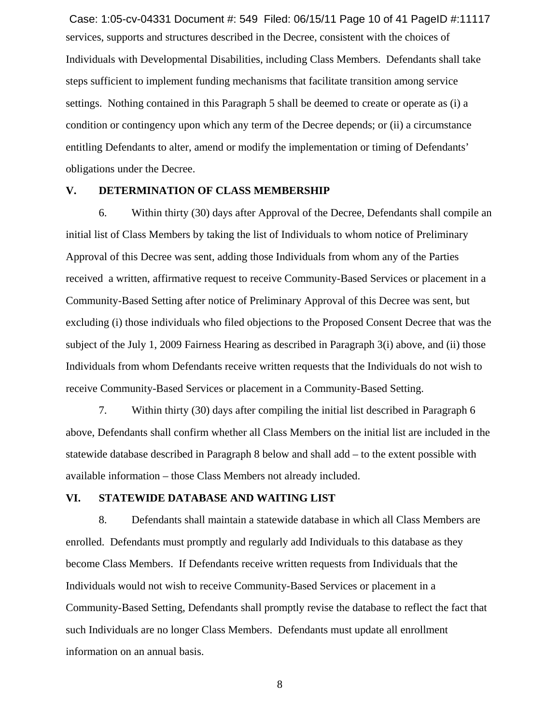services, supports and structures described in the Decree, consistent with the choices of Individuals with Developmental Disabilities, including Class Members. Defendants shall take steps sufficient to implement funding mechanisms that facilitate transition among service settings. Nothing contained in this Paragraph 5 shall be deemed to create or operate as (i) a condition or contingency upon which any term of the Decree depends; or (ii) a circumstance entitling Defendants to alter, amend or modify the implementation or timing of Defendants' obligations under the Decree. Case: 1:05-cv-04331 Document #: 549 Filed: 06/15/11 Page 10 of 41 PageID #:11117

#### **V. DETERMINATION OF CLASS MEMBERSHIP**

6. Within thirty (30) days after Approval of the Decree, Defendants shall compile an initial list of Class Members by taking the list of Individuals to whom notice of Preliminary Approval of this Decree was sent, adding those Individuals from whom any of the Parties received a written, affirmative request to receive Community-Based Services or placement in a Community-Based Setting after notice of Preliminary Approval of this Decree was sent, but excluding (i) those individuals who filed objections to the Proposed Consent Decree that was the subject of the July 1, 2009 Fairness Hearing as described in Paragraph 3(i) above, and (ii) those Individuals from whom Defendants receive written requests that the Individuals do not wish to receive Community-Based Services or placement in a Community-Based Setting.

7. Within thirty (30) days after compiling the initial list described in Paragraph 6 above, Defendants shall confirm whether all Class Members on the initial list are included in the statewide database described in Paragraph 8 below and shall add – to the extent possible with available information – those Class Members not already included.

# **VI. STATEWIDE DATABASE AND WAITING LIST**

8. Defendants shall maintain a statewide database in which all Class Members are enrolled. Defendants must promptly and regularly add Individuals to this database as they become Class Members. If Defendants receive written requests from Individuals that the Individuals would not wish to receive Community-Based Services or placement in a Community-Based Setting, Defendants shall promptly revise the database to reflect the fact that such Individuals are no longer Class Members. Defendants must update all enrollment information on an annual basis.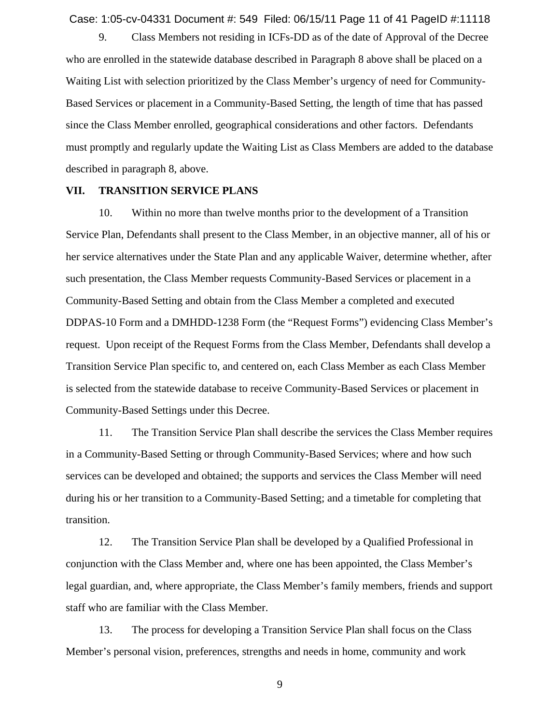Case: 1:05-cv-04331 Document #: 549 Filed: 06/15/11 Page 11 of 41 PageID #:11118

9. Class Members not residing in ICFs-DD as of the date of Approval of the Decree who are enrolled in the statewide database described in Paragraph 8 above shall be placed on a Waiting List with selection prioritized by the Class Member's urgency of need for Community-Based Services or placement in a Community-Based Setting, the length of time that has passed since the Class Member enrolled, geographical considerations and other factors. Defendants must promptly and regularly update the Waiting List as Class Members are added to the database described in paragraph 8, above.

#### **VII. TRANSITION SERVICE PLANS**

10. Within no more than twelve months prior to the development of a Transition Service Plan, Defendants shall present to the Class Member, in an objective manner, all of his or her service alternatives under the State Plan and any applicable Waiver, determine whether, after such presentation, the Class Member requests Community-Based Services or placement in a Community-Based Setting and obtain from the Class Member a completed and executed DDPAS-10 Form and a DMHDD-1238 Form (the "Request Forms") evidencing Class Member's request. Upon receipt of the Request Forms from the Class Member, Defendants shall develop a Transition Service Plan specific to, and centered on, each Class Member as each Class Member is selected from the statewide database to receive Community-Based Services or placement in Community-Based Settings under this Decree.

11. The Transition Service Plan shall describe the services the Class Member requires in a Community-Based Setting or through Community-Based Services; where and how such services can be developed and obtained; the supports and services the Class Member will need during his or her transition to a Community-Based Setting; and a timetable for completing that transition.

12. The Transition Service Plan shall be developed by a Qualified Professional in conjunction with the Class Member and, where one has been appointed, the Class Member's legal guardian, and, where appropriate, the Class Member's family members, friends and support staff who are familiar with the Class Member.

13. The process for developing a Transition Service Plan shall focus on the Class Member's personal vision, preferences, strengths and needs in home, community and work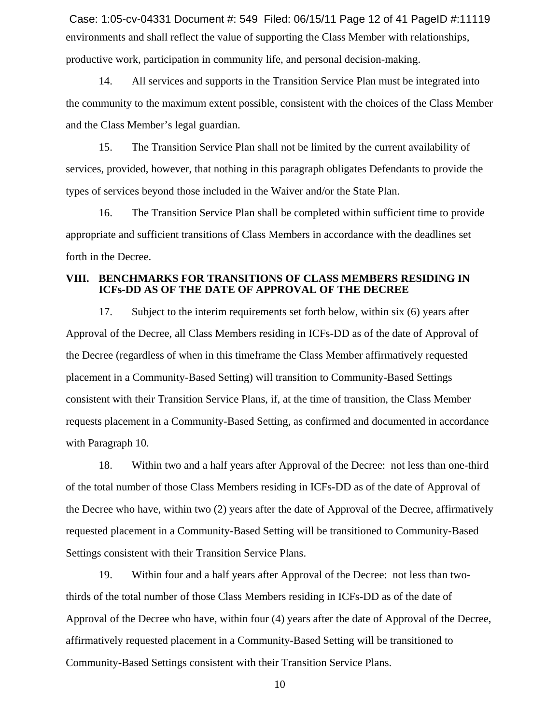environments and shall reflect the value of supporting the Class Member with relationships, productive work, participation in community life, and personal decision-making. Case: 1:05-cv-04331 Document #: 549 Filed: 06/15/11 Page 12 of 41 PageID #:11119

14. All services and supports in the Transition Service Plan must be integrated into the community to the maximum extent possible, consistent with the choices of the Class Member and the Class Member's legal guardian.

15. The Transition Service Plan shall not be limited by the current availability of services, provided, however, that nothing in this paragraph obligates Defendants to provide the types of services beyond those included in the Waiver and/or the State Plan.

16. The Transition Service Plan shall be completed within sufficient time to provide appropriate and sufficient transitions of Class Members in accordance with the deadlines set forth in the Decree.

#### **VIII. BENCHMARKS FOR TRANSITIONS OF CLASS MEMBERS RESIDING IN ICFs-DD AS OF THE DATE OF APPROVAL OF THE DECREE**

17. Subject to the interim requirements set forth below, within six (6) years after Approval of the Decree, all Class Members residing in ICFs-DD as of the date of Approval of the Decree (regardless of when in this timeframe the Class Member affirmatively requested placement in a Community-Based Setting) will transition to Community-Based Settings consistent with their Transition Service Plans, if, at the time of transition, the Class Member requests placement in a Community-Based Setting, as confirmed and documented in accordance with Paragraph 10.

18. Within two and a half years after Approval of the Decree: not less than one-third of the total number of those Class Members residing in ICFs-DD as of the date of Approval of the Decree who have, within two (2) years after the date of Approval of the Decree, affirmatively requested placement in a Community-Based Setting will be transitioned to Community-Based Settings consistent with their Transition Service Plans.

19. Within four and a half years after Approval of the Decree: not less than twothirds of the total number of those Class Members residing in ICFs-DD as of the date of Approval of the Decree who have, within four (4) years after the date of Approval of the Decree, affirmatively requested placement in a Community-Based Setting will be transitioned to Community-Based Settings consistent with their Transition Service Plans.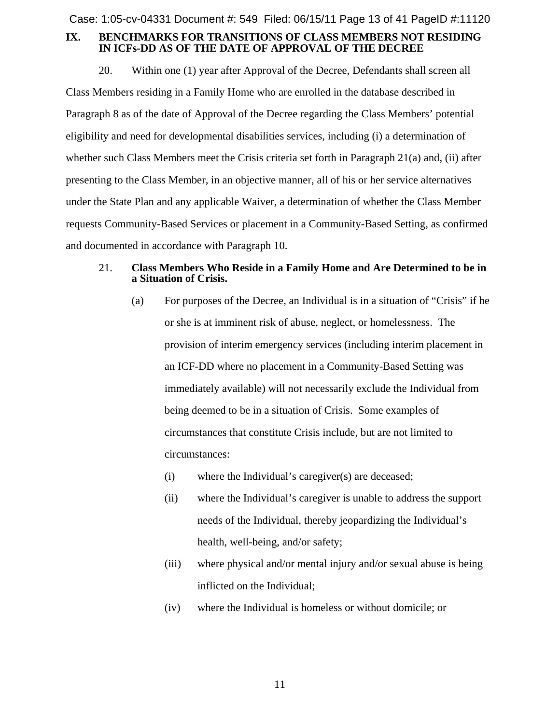Case: 1:05-cv-04331 Document #: 549 Filed: 06/15/11 Page 13 of 41 PageID #:11120

# **IX. BENCHMARKS FOR TRANSITIONS OF CLASS MEMBERS NOT RESIDING IN ICFs-DD AS OF THE DATE OF APPROVAL OF THE DECREE**

20. Within one (1) year after Approval of the Decree, Defendants shall screen all Class Members residing in a Family Home who are enrolled in the database described in Paragraph 8 as of the date of Approval of the Decree regarding the Class Members' potential eligibility and need for developmental disabilities services, including (i) a determination of whether such Class Members meet the Crisis criteria set forth in Paragraph 21(a) and, (ii) after presenting to the Class Member, in an objective manner, all of his or her service alternatives under the State Plan and any applicable Waiver, a determination of whether the Class Member requests Community-Based Services or placement in a Community-Based Setting, as confirmed and documented in accordance with Paragraph 10.

# 21. **Class Members Who Reside in a Family Home and Are Determined to be in a Situation of Crisis.**

- (a) For purposes of the Decree, an Individual is in a situation of "Crisis" if he or she is at imminent risk of abuse, neglect, or homelessness. The provision of interim emergency services (including interim placement in an ICF-DD where no placement in a Community-Based Setting was immediately available) will not necessarily exclude the Individual from being deemed to be in a situation of Crisis. Some examples of circumstances that constitute Crisis include, but are not limited to circumstances:
	- (i) where the Individual's caregiver(s) are deceased;
	- (ii) where the Individual's caregiver is unable to address the support needs of the Individual, thereby jeopardizing the Individual's health, well-being, and/or safety;
	- (iii) where physical and/or mental injury and/or sexual abuse is being inflicted on the Individual;
	- (iv) where the Individual is homeless or without domicile; or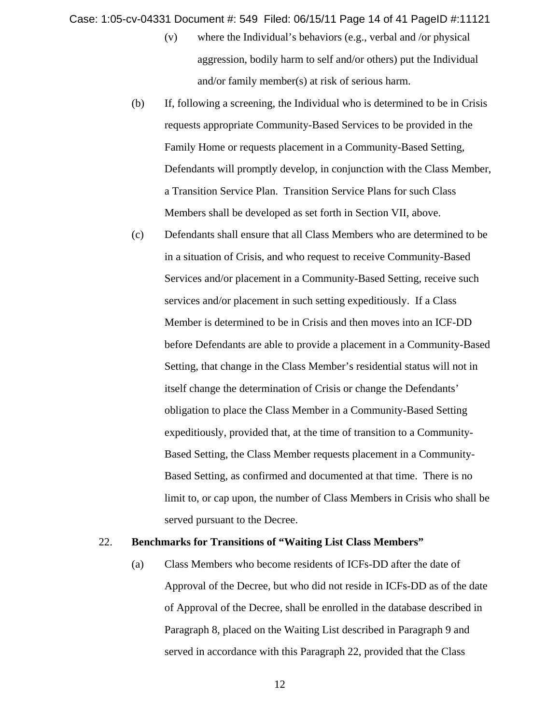Case: 1:05-cv-04331 Document #: 549 Filed: 06/15/11 Page 14 of 41 PageID #:11121

- (v) where the Individual's behaviors (e.g., verbal and /or physical aggression, bodily harm to self and/or others) put the Individual and/or family member(s) at risk of serious harm.
- (b) If, following a screening, the Individual who is determined to be in Crisis requests appropriate Community-Based Services to be provided in the Family Home or requests placement in a Community-Based Setting, Defendants will promptly develop, in conjunction with the Class Member, a Transition Service Plan. Transition Service Plans for such Class Members shall be developed as set forth in Section VII, above.
- (c) Defendants shall ensure that all Class Members who are determined to be in a situation of Crisis, and who request to receive Community-Based Services and/or placement in a Community-Based Setting, receive such services and/or placement in such setting expeditiously. If a Class Member is determined to be in Crisis and then moves into an ICF-DD before Defendants are able to provide a placement in a Community-Based Setting, that change in the Class Member's residential status will not in itself change the determination of Crisis or change the Defendants' obligation to place the Class Member in a Community-Based Setting expeditiously, provided that, at the time of transition to a Community-Based Setting, the Class Member requests placement in a Community-Based Setting, as confirmed and documented at that time. There is no limit to, or cap upon, the number of Class Members in Crisis who shall be served pursuant to the Decree.

#### 22. **Benchmarks for Transitions of "Waiting List Class Members"**

(a) Class Members who become residents of ICFs-DD after the date of Approval of the Decree, but who did not reside in ICFs-DD as of the date of Approval of the Decree, shall be enrolled in the database described in Paragraph 8, placed on the Waiting List described in Paragraph 9 and served in accordance with this Paragraph 22, provided that the Class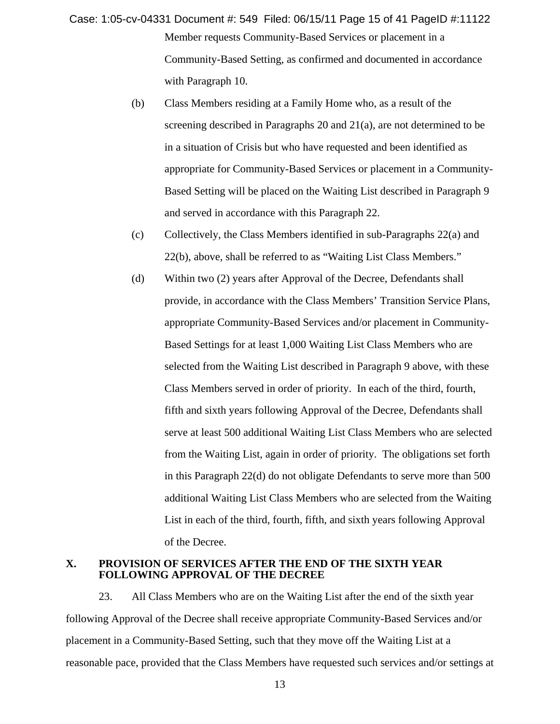Member requests Community-Based Services or placement in a Community-Based Setting, as confirmed and documented in accordance with Paragraph 10. Case: 1:05-cv-04331 Document #: 549 Filed: 06/15/11 Page 15 of 41 PageID #:11122

- (b) Class Members residing at a Family Home who, as a result of the screening described in Paragraphs 20 and 21(a), are not determined to be in a situation of Crisis but who have requested and been identified as appropriate for Community-Based Services or placement in a Community-Based Setting will be placed on the Waiting List described in Paragraph 9 and served in accordance with this Paragraph 22.
- (c) Collectively, the Class Members identified in sub-Paragraphs 22(a) and 22(b), above, shall be referred to as "Waiting List Class Members."
- (d) Within two (2) years after Approval of the Decree, Defendants shall provide, in accordance with the Class Members' Transition Service Plans, appropriate Community-Based Services and/or placement in Community-Based Settings for at least 1,000 Waiting List Class Members who are selected from the Waiting List described in Paragraph 9 above, with these Class Members served in order of priority. In each of the third, fourth, fifth and sixth years following Approval of the Decree, Defendants shall serve at least 500 additional Waiting List Class Members who are selected from the Waiting List, again in order of priority. The obligations set forth in this Paragraph 22(d) do not obligate Defendants to serve more than 500 additional Waiting List Class Members who are selected from the Waiting List in each of the third, fourth, fifth, and sixth years following Approval of the Decree.

#### **X. PROVISION OF SERVICES AFTER THE END OF THE SIXTH YEAR FOLLOWING APPROVAL OF THE DECREE**

23. All Class Members who are on the Waiting List after the end of the sixth year following Approval of the Decree shall receive appropriate Community-Based Services and/or placement in a Community-Based Setting, such that they move off the Waiting List at a reasonable pace, provided that the Class Members have requested such services and/or settings at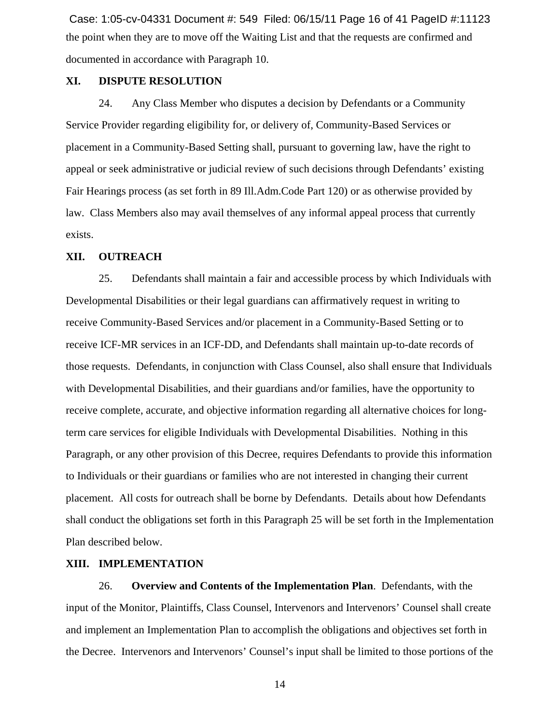the point when they are to move off the Waiting List and that the requests are confirmed and documented in accordance with Paragraph 10. Case: 1:05-cv-04331 Document #: 549 Filed: 06/15/11 Page 16 of 41 PageID #:11123

# **XI. DISPUTE RESOLUTION**

24. Any Class Member who disputes a decision by Defendants or a Community Service Provider regarding eligibility for, or delivery of, Community-Based Services or placement in a Community-Based Setting shall, pursuant to governing law, have the right to appeal or seek administrative or judicial review of such decisions through Defendants' existing Fair Hearings process (as set forth in 89 Ill.Adm.Code Part 120) or as otherwise provided by law. Class Members also may avail themselves of any informal appeal process that currently exists.

# **XII. OUTREACH**

25. Defendants shall maintain a fair and accessible process by which Individuals with Developmental Disabilities or their legal guardians can affirmatively request in writing to receive Community-Based Services and/or placement in a Community-Based Setting or to receive ICF-MR services in an ICF-DD, and Defendants shall maintain up-to-date records of those requests. Defendants, in conjunction with Class Counsel, also shall ensure that Individuals with Developmental Disabilities, and their guardians and/or families, have the opportunity to receive complete, accurate, and objective information regarding all alternative choices for longterm care services for eligible Individuals with Developmental Disabilities. Nothing in this Paragraph, or any other provision of this Decree, requires Defendants to provide this information to Individuals or their guardians or families who are not interested in changing their current placement. All costs for outreach shall be borne by Defendants. Details about how Defendants shall conduct the obligations set forth in this Paragraph 25 will be set forth in the Implementation Plan described below.

#### **XIII. IMPLEMENTATION**

26. **Overview and Contents of the Implementation Plan**. Defendants, with the input of the Monitor, Plaintiffs, Class Counsel, Intervenors and Intervenors' Counsel shall create and implement an Implementation Plan to accomplish the obligations and objectives set forth in the Decree. Intervenors and Intervenors' Counsel's input shall be limited to those portions of the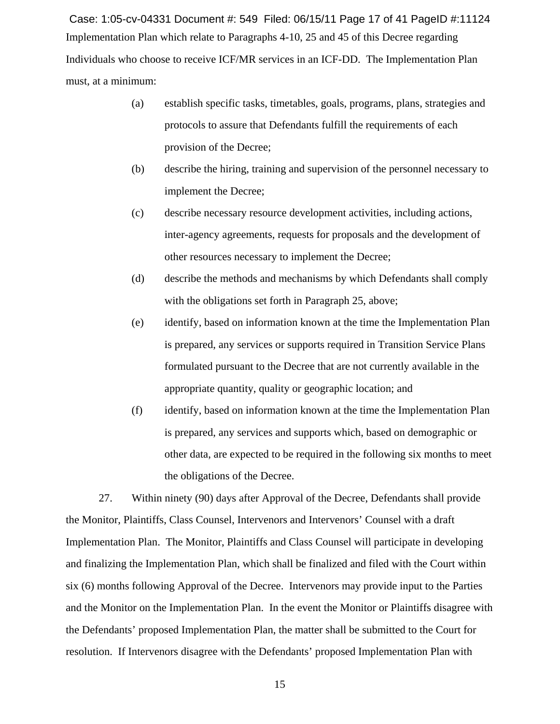Implementation Plan which relate to Paragraphs 4-10, 25 and 45 of this Decree regarding Individuals who choose to receive ICF/MR services in an ICF-DD. The Implementation Plan must, at a minimum: Case: 1:05-cv-04331 Document #: 549 Filed: 06/15/11 Page 17 of 41 PageID #:11124

- (a) establish specific tasks, timetables, goals, programs, plans, strategies and protocols to assure that Defendants fulfill the requirements of each provision of the Decree;
- (b) describe the hiring, training and supervision of the personnel necessary to implement the Decree;
- (c) describe necessary resource development activities, including actions, inter-agency agreements, requests for proposals and the development of other resources necessary to implement the Decree;
- (d) describe the methods and mechanisms by which Defendants shall comply with the obligations set forth in Paragraph 25, above;
- (e) identify, based on information known at the time the Implementation Plan is prepared, any services or supports required in Transition Service Plans formulated pursuant to the Decree that are not currently available in the appropriate quantity, quality or geographic location; and
- (f) identify, based on information known at the time the Implementation Plan is prepared, any services and supports which, based on demographic or other data, are expected to be required in the following six months to meet the obligations of the Decree.

27. Within ninety (90) days after Approval of the Decree, Defendants shall provide the Monitor, Plaintiffs, Class Counsel, Intervenors and Intervenors' Counsel with a draft Implementation Plan. The Monitor, Plaintiffs and Class Counsel will participate in developing and finalizing the Implementation Plan, which shall be finalized and filed with the Court within six (6) months following Approval of the Decree. Intervenors may provide input to the Parties and the Monitor on the Implementation Plan. In the event the Monitor or Plaintiffs disagree with the Defendants' proposed Implementation Plan, the matter shall be submitted to the Court for resolution. If Intervenors disagree with the Defendants' proposed Implementation Plan with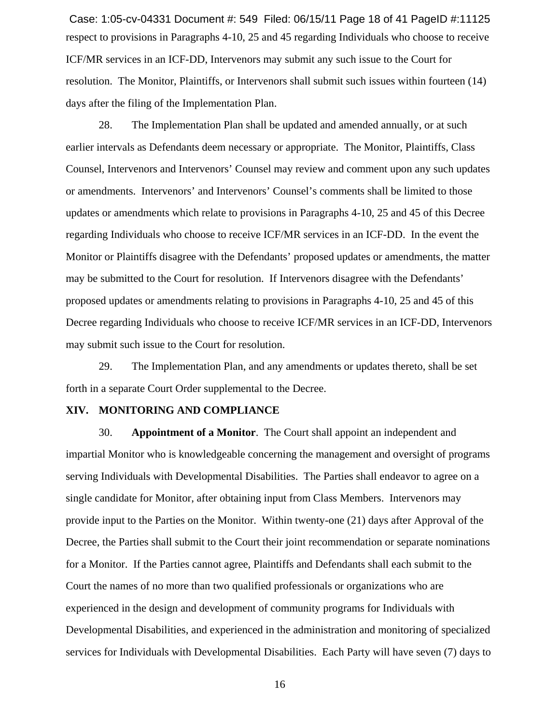respect to provisions in Paragraphs 4-10, 25 and 45 regarding Individuals who choose to receive ICF/MR services in an ICF-DD, Intervenors may submit any such issue to the Court for resolution. The Monitor, Plaintiffs, or Intervenors shall submit such issues within fourteen (14) days after the filing of the Implementation Plan. Case: 1:05-cv-04331 Document #: 549 Filed: 06/15/11 Page 18 of 41 PageID #:11125

28. The Implementation Plan shall be updated and amended annually, or at such earlier intervals as Defendants deem necessary or appropriate. The Monitor, Plaintiffs, Class Counsel, Intervenors and Intervenors' Counsel may review and comment upon any such updates or amendments. Intervenors' and Intervenors' Counsel's comments shall be limited to those updates or amendments which relate to provisions in Paragraphs 4-10, 25 and 45 of this Decree regarding Individuals who choose to receive ICF/MR services in an ICF-DD. In the event the Monitor or Plaintiffs disagree with the Defendants' proposed updates or amendments, the matter may be submitted to the Court for resolution. If Intervenors disagree with the Defendants' proposed updates or amendments relating to provisions in Paragraphs 4-10, 25 and 45 of this Decree regarding Individuals who choose to receive ICF/MR services in an ICF-DD, Intervenors may submit such issue to the Court for resolution.

29. The Implementation Plan, and any amendments or updates thereto, shall be set forth in a separate Court Order supplemental to the Decree.

#### **XIV. MONITORING AND COMPLIANCE**

30. **Appointment of a Monitor**. The Court shall appoint an independent and impartial Monitor who is knowledgeable concerning the management and oversight of programs serving Individuals with Developmental Disabilities. The Parties shall endeavor to agree on a single candidate for Monitor, after obtaining input from Class Members. Intervenors may provide input to the Parties on the Monitor. Within twenty-one (21) days after Approval of the Decree, the Parties shall submit to the Court their joint recommendation or separate nominations for a Monitor. If the Parties cannot agree, Plaintiffs and Defendants shall each submit to the Court the names of no more than two qualified professionals or organizations who are experienced in the design and development of community programs for Individuals with Developmental Disabilities, and experienced in the administration and monitoring of specialized services for Individuals with Developmental Disabilities. Each Party will have seven (7) days to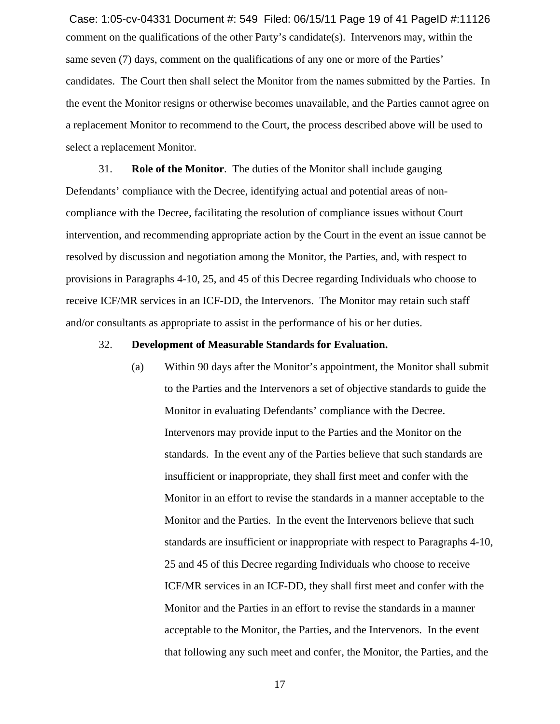comment on the qualifications of the other Party's candidate(s). Intervenors may, within the same seven (7) days, comment on the qualifications of any one or more of the Parties' candidates. The Court then shall select the Monitor from the names submitted by the Parties. In the event the Monitor resigns or otherwise becomes unavailable, and the Parties cannot agree on a replacement Monitor to recommend to the Court, the process described above will be used to select a replacement Monitor. Case: 1:05-cv-04331 Document #: 549 Filed: 06/15/11 Page 19 of 41 PageID #:11126

31. **Role of the Monitor**. The duties of the Monitor shall include gauging Defendants' compliance with the Decree, identifying actual and potential areas of noncompliance with the Decree, facilitating the resolution of compliance issues without Court intervention, and recommending appropriate action by the Court in the event an issue cannot be resolved by discussion and negotiation among the Monitor, the Parties, and, with respect to provisions in Paragraphs 4-10, 25, and 45 of this Decree regarding Individuals who choose to receive ICF/MR services in an ICF-DD, the Intervenors. The Monitor may retain such staff and/or consultants as appropriate to assist in the performance of his or her duties.

#### 32. **Development of Measurable Standards for Evaluation.**

(a) Within 90 days after the Monitor's appointment, the Monitor shall submit to the Parties and the Intervenors a set of objective standards to guide the Monitor in evaluating Defendants' compliance with the Decree. Intervenors may provide input to the Parties and the Monitor on the standards. In the event any of the Parties believe that such standards are insufficient or inappropriate, they shall first meet and confer with the Monitor in an effort to revise the standards in a manner acceptable to the Monitor and the Parties. In the event the Intervenors believe that such standards are insufficient or inappropriate with respect to Paragraphs 4-10, 25 and 45 of this Decree regarding Individuals who choose to receive ICF/MR services in an ICF-DD, they shall first meet and confer with the Monitor and the Parties in an effort to revise the standards in a manner acceptable to the Monitor, the Parties, and the Intervenors. In the event that following any such meet and confer, the Monitor, the Parties, and the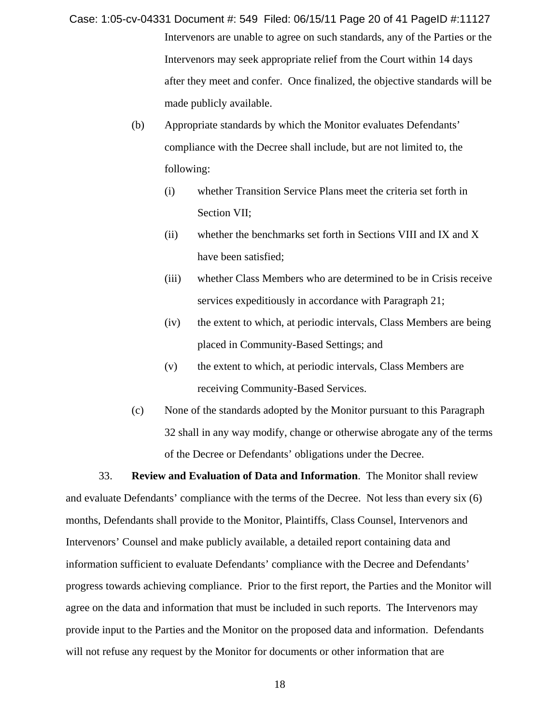- Intervenors are unable to agree on such standards, any of the Parties or the Intervenors may seek appropriate relief from the Court within 14 days after they meet and confer. Once finalized, the objective standards will be made publicly available. Case: 1:05-cv-04331 Document #: 549 Filed: 06/15/11 Page 20 of 41 PageID #:11127
	- (b) Appropriate standards by which the Monitor evaluates Defendants' compliance with the Decree shall include, but are not limited to, the following:
		- (i) whether Transition Service Plans meet the criteria set forth in Section VII;
		- (ii) whether the benchmarks set forth in Sections VIII and IX and X have been satisfied;
		- (iii) whether Class Members who are determined to be in Crisis receive services expeditiously in accordance with Paragraph 21;
		- (iv) the extent to which, at periodic intervals, Class Members are being placed in Community-Based Settings; and
		- (v) the extent to which, at periodic intervals, Class Members are receiving Community-Based Services.
	- (c) None of the standards adopted by the Monitor pursuant to this Paragraph 32 shall in any way modify, change or otherwise abrogate any of the terms of the Decree or Defendants' obligations under the Decree.

33. **Review and Evaluation of Data and Information**. The Monitor shall review and evaluate Defendants' compliance with the terms of the Decree. Not less than every six (6) months, Defendants shall provide to the Monitor, Plaintiffs, Class Counsel, Intervenors and Intervenors' Counsel and make publicly available, a detailed report containing data and information sufficient to evaluate Defendants' compliance with the Decree and Defendants' progress towards achieving compliance. Prior to the first report, the Parties and the Monitor will agree on the data and information that must be included in such reports. The Intervenors may provide input to the Parties and the Monitor on the proposed data and information. Defendants will not refuse any request by the Monitor for documents or other information that are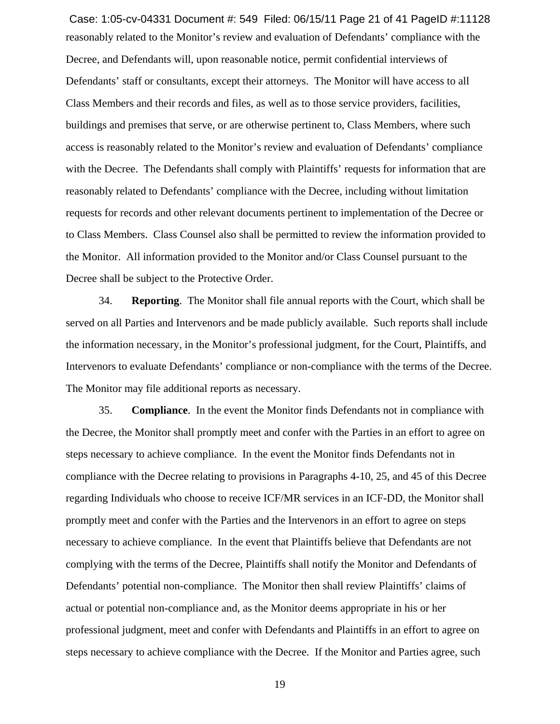reasonably related to the Monitor's review and evaluation of Defendants' compliance with the Decree, and Defendants will, upon reasonable notice, permit confidential interviews of Defendants' staff or consultants, except their attorneys. The Monitor will have access to all Class Members and their records and files, as well as to those service providers, facilities, buildings and premises that serve, or are otherwise pertinent to, Class Members, where such access is reasonably related to the Monitor's review and evaluation of Defendants' compliance with the Decree. The Defendants shall comply with Plaintiffs' requests for information that are reasonably related to Defendants' compliance with the Decree, including without limitation requests for records and other relevant documents pertinent to implementation of the Decree or to Class Members. Class Counsel also shall be permitted to review the information provided to the Monitor. All information provided to the Monitor and/or Class Counsel pursuant to the Decree shall be subject to the Protective Order. Case: 1:05-cv-04331 Document #: 549 Filed: 06/15/11 Page 21 of 41 PageID #:11128

34. **Reporting**. The Monitor shall file annual reports with the Court, which shall be served on all Parties and Intervenors and be made publicly available. Such reports shall include the information necessary, in the Monitor's professional judgment, for the Court, Plaintiffs, and Intervenors to evaluate Defendants' compliance or non-compliance with the terms of the Decree. The Monitor may file additional reports as necessary.

35. **Compliance**. In the event the Monitor finds Defendants not in compliance with the Decree, the Monitor shall promptly meet and confer with the Parties in an effort to agree on steps necessary to achieve compliance. In the event the Monitor finds Defendants not in compliance with the Decree relating to provisions in Paragraphs 4-10, 25, and 45 of this Decree regarding Individuals who choose to receive ICF/MR services in an ICF-DD, the Monitor shall promptly meet and confer with the Parties and the Intervenors in an effort to agree on steps necessary to achieve compliance. In the event that Plaintiffs believe that Defendants are not complying with the terms of the Decree, Plaintiffs shall notify the Monitor and Defendants of Defendants' potential non-compliance. The Monitor then shall review Plaintiffs' claims of actual or potential non-compliance and, as the Monitor deems appropriate in his or her professional judgment, meet and confer with Defendants and Plaintiffs in an effort to agree on steps necessary to achieve compliance with the Decree. If the Monitor and Parties agree, such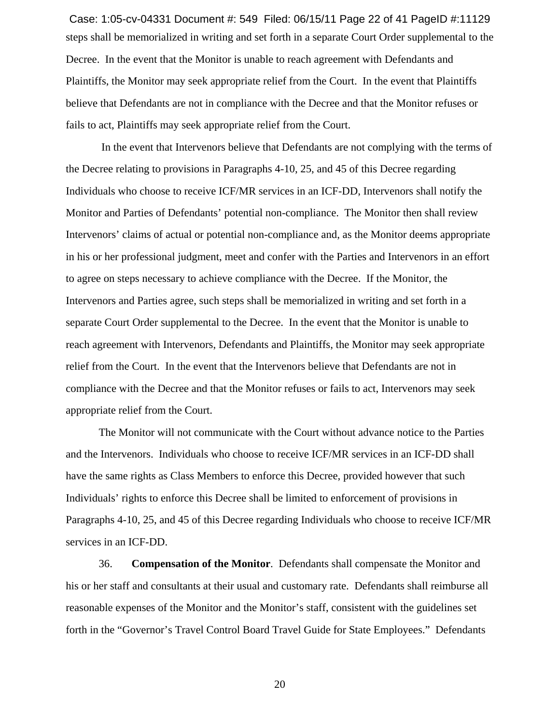steps shall be memorialized in writing and set forth in a separate Court Order supplemental to the Decree. In the event that the Monitor is unable to reach agreement with Defendants and Plaintiffs, the Monitor may seek appropriate relief from the Court. In the event that Plaintiffs believe that Defendants are not in compliance with the Decree and that the Monitor refuses or fails to act, Plaintiffs may seek appropriate relief from the Court. Case: 1:05-cv-04331 Document #: 549 Filed: 06/15/11 Page 22 of 41 PageID #:11129

 In the event that Intervenors believe that Defendants are not complying with the terms of the Decree relating to provisions in Paragraphs 4-10, 25, and 45 of this Decree regarding Individuals who choose to receive ICF/MR services in an ICF-DD, Intervenors shall notify the Monitor and Parties of Defendants' potential non-compliance. The Monitor then shall review Intervenors' claims of actual or potential non-compliance and, as the Monitor deems appropriate in his or her professional judgment, meet and confer with the Parties and Intervenors in an effort to agree on steps necessary to achieve compliance with the Decree. If the Monitor, the Intervenors and Parties agree, such steps shall be memorialized in writing and set forth in a separate Court Order supplemental to the Decree. In the event that the Monitor is unable to reach agreement with Intervenors, Defendants and Plaintiffs, the Monitor may seek appropriate relief from the Court. In the event that the Intervenors believe that Defendants are not in compliance with the Decree and that the Monitor refuses or fails to act, Intervenors may seek appropriate relief from the Court.

The Monitor will not communicate with the Court without advance notice to the Parties and the Intervenors. Individuals who choose to receive ICF/MR services in an ICF-DD shall have the same rights as Class Members to enforce this Decree, provided however that such Individuals' rights to enforce this Decree shall be limited to enforcement of provisions in Paragraphs 4-10, 25, and 45 of this Decree regarding Individuals who choose to receive ICF/MR services in an ICF-DD.

36. **Compensation of the Monitor**. Defendants shall compensate the Monitor and his or her staff and consultants at their usual and customary rate. Defendants shall reimburse all reasonable expenses of the Monitor and the Monitor's staff, consistent with the guidelines set forth in the "Governor's Travel Control Board Travel Guide for State Employees." Defendants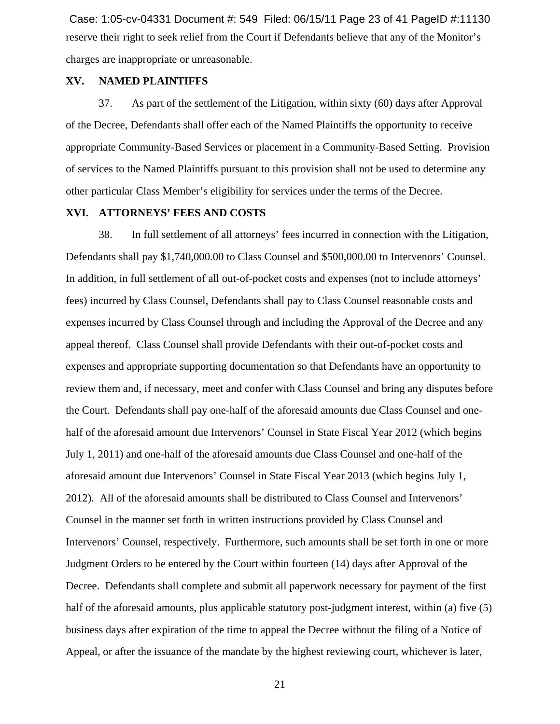reserve their right to seek relief from the Court if Defendants believe that any of the Monitor's charges are inappropriate or unreasonable. Case: 1:05-cv-04331 Document #: 549 Filed: 06/15/11 Page 23 of 41 PageID #:11130

# **XV. NAMED PLAINTIFFS**

37. As part of the settlement of the Litigation, within sixty (60) days after Approval of the Decree, Defendants shall offer each of the Named Plaintiffs the opportunity to receive appropriate Community-Based Services or placement in a Community-Based Setting. Provision of services to the Named Plaintiffs pursuant to this provision shall not be used to determine any other particular Class Member's eligibility for services under the terms of the Decree.

#### **XVI. ATTORNEYS' FEES AND COSTS**

38. In full settlement of all attorneys' fees incurred in connection with the Litigation, Defendants shall pay \$1,740,000.00 to Class Counsel and \$500,000.00 to Intervenors' Counsel. In addition, in full settlement of all out-of-pocket costs and expenses (not to include attorneys' fees) incurred by Class Counsel, Defendants shall pay to Class Counsel reasonable costs and expenses incurred by Class Counsel through and including the Approval of the Decree and any appeal thereof. Class Counsel shall provide Defendants with their out-of-pocket costs and expenses and appropriate supporting documentation so that Defendants have an opportunity to review them and, if necessary, meet and confer with Class Counsel and bring any disputes before the Court. Defendants shall pay one-half of the aforesaid amounts due Class Counsel and onehalf of the aforesaid amount due Intervenors' Counsel in State Fiscal Year 2012 (which begins July 1, 2011) and one-half of the aforesaid amounts due Class Counsel and one-half of the aforesaid amount due Intervenors' Counsel in State Fiscal Year 2013 (which begins July 1, 2012). All of the aforesaid amounts shall be distributed to Class Counsel and Intervenors' Counsel in the manner set forth in written instructions provided by Class Counsel and Intervenors' Counsel, respectively. Furthermore, such amounts shall be set forth in one or more Judgment Orders to be entered by the Court within fourteen (14) days after Approval of the Decree. Defendants shall complete and submit all paperwork necessary for payment of the first half of the aforesaid amounts, plus applicable statutory post-judgment interest, within (a) five (5) business days after expiration of the time to appeal the Decree without the filing of a Notice of Appeal, or after the issuance of the mandate by the highest reviewing court, whichever is later,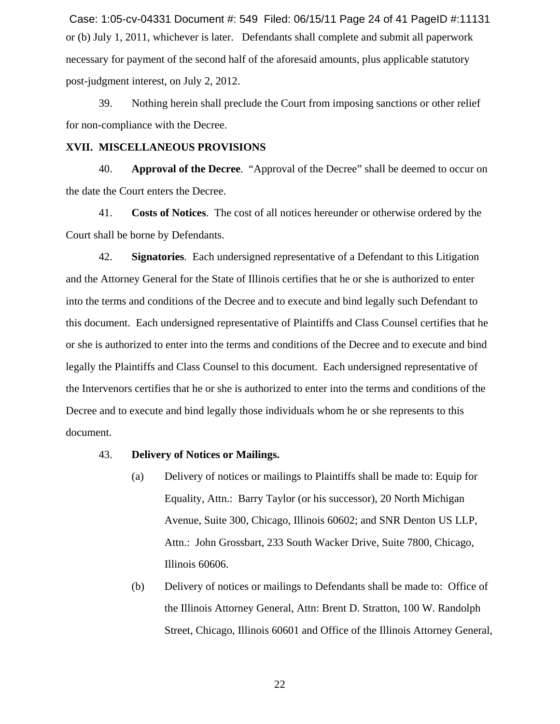or (b) July 1, 2011, whichever is later. Defendants shall complete and submit all paperwork necessary for payment of the second half of the aforesaid amounts, plus applicable statutory post-judgment interest, on July 2, 2012. Case: 1:05-cv-04331 Document #: 549 Filed: 06/15/11 Page 24 of 41 PageID #:11131

39. Nothing herein shall preclude the Court from imposing sanctions or other relief for non-compliance with the Decree.

#### **XVII. MISCELLANEOUS PROVISIONS**

40. **Approval of the Decree**. "Approval of the Decree" shall be deemed to occur on the date the Court enters the Decree.

41. **Costs of Notices**. The cost of all notices hereunder or otherwise ordered by the Court shall be borne by Defendants.

42. **Signatories**. Each undersigned representative of a Defendant to this Litigation and the Attorney General for the State of Illinois certifies that he or she is authorized to enter into the terms and conditions of the Decree and to execute and bind legally such Defendant to this document. Each undersigned representative of Plaintiffs and Class Counsel certifies that he or she is authorized to enter into the terms and conditions of the Decree and to execute and bind legally the Plaintiffs and Class Counsel to this document. Each undersigned representative of the Intervenors certifies that he or she is authorized to enter into the terms and conditions of the Decree and to execute and bind legally those individuals whom he or she represents to this document.

#### 43. **Delivery of Notices or Mailings.**

- (a) Delivery of notices or mailings to Plaintiffs shall be made to: Equip for Equality, Attn.: Barry Taylor (or his successor), 20 North Michigan Avenue, Suite 300, Chicago, Illinois 60602; and SNR Denton US LLP, Attn.: John Grossbart, 233 South Wacker Drive, Suite 7800, Chicago, Illinois 60606.
- (b) Delivery of notices or mailings to Defendants shall be made to: Office of the Illinois Attorney General, Attn: Brent D. Stratton, 100 W. Randolph Street, Chicago, Illinois 60601 and Office of the Illinois Attorney General,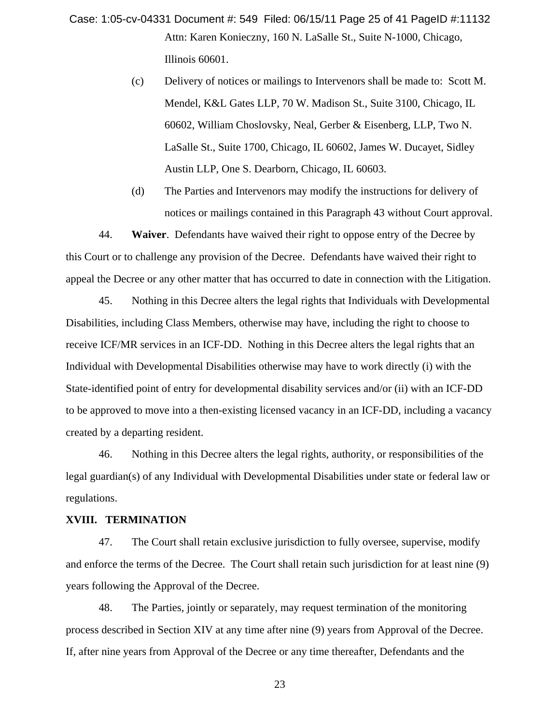Attn: Karen Konieczny, 160 N. LaSalle St., Suite N-1000, Chicago, Illinois 60601. Case: 1:05-cv-04331 Document #: 549 Filed: 06/15/11 Page 25 of 41 PageID #:11132

- (c) Delivery of notices or mailings to Intervenors shall be made to: Scott M. Mendel, K&L Gates LLP, 70 W. Madison St., Suite 3100, Chicago, IL 60602, William Choslovsky, Neal, Gerber & Eisenberg, LLP, Two N. LaSalle St., Suite 1700, Chicago, IL 60602, James W. Ducayet, Sidley Austin LLP, One S. Dearborn, Chicago, IL 60603.
- (d) The Parties and Intervenors may modify the instructions for delivery of notices or mailings contained in this Paragraph 43 without Court approval.

44. **Waiver**. Defendants have waived their right to oppose entry of the Decree by this Court or to challenge any provision of the Decree. Defendants have waived their right to appeal the Decree or any other matter that has occurred to date in connection with the Litigation.

45. Nothing in this Decree alters the legal rights that Individuals with Developmental Disabilities, including Class Members, otherwise may have, including the right to choose to receive ICF/MR services in an ICF-DD. Nothing in this Decree alters the legal rights that an Individual with Developmental Disabilities otherwise may have to work directly (i) with the State-identified point of entry for developmental disability services and/or (ii) with an ICF-DD to be approved to move into a then-existing licensed vacancy in an ICF-DD, including a vacancy created by a departing resident.

46. Nothing in this Decree alters the legal rights, authority, or responsibilities of the legal guardian(s) of any Individual with Developmental Disabilities under state or federal law or regulations.

#### **XVIII. TERMINATION**

47. The Court shall retain exclusive jurisdiction to fully oversee, supervise, modify and enforce the terms of the Decree. The Court shall retain such jurisdiction for at least nine (9) years following the Approval of the Decree.

48. The Parties, jointly or separately, may request termination of the monitoring process described in Section XIV at any time after nine (9) years from Approval of the Decree. If, after nine years from Approval of the Decree or any time thereafter, Defendants and the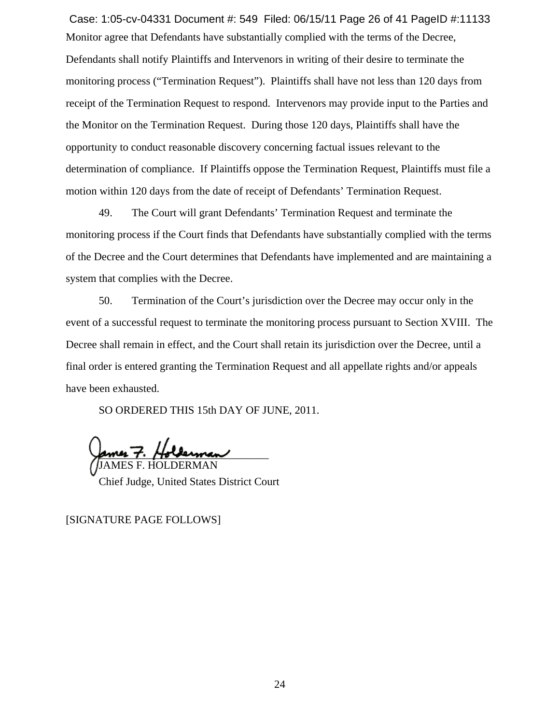Monitor agree that Defendants have substantially complied with the terms of the Decree, Defendants shall notify Plaintiffs and Intervenors in writing of their desire to terminate the monitoring process ("Termination Request"). Plaintiffs shall have not less than 120 days from receipt of the Termination Request to respond. Intervenors may provide input to the Parties and the Monitor on the Termination Request. During those 120 days, Plaintiffs shall have the opportunity to conduct reasonable discovery concerning factual issues relevant to the determination of compliance. If Plaintiffs oppose the Termination Request, Plaintiffs must file a motion within 120 days from the date of receipt of Defendants' Termination Request. Case: 1:05-cv-04331 Document #: 549 Filed: 06/15/11 Page 26 of 41 PageID #:11133

49. The Court will grant Defendants' Termination Request and terminate the monitoring process if the Court finds that Defendants have substantially complied with the terms of the Decree and the Court determines that Defendants have implemented and are maintaining a system that complies with the Decree.

50. Termination of the Court's jurisdiction over the Decree may occur only in the event of a successful request to terminate the monitoring process pursuant to Section XVIII. The Decree shall remain in effect, and the Court shall retain its jurisdiction over the Decree, until a final order is entered granting the Termination Request and all appellate rights and/or appeals have been exhausted.

SO ORDERED THIS 15th DAY OF JUNE, 2011.

ames F. Holderman JAMES F. HOLDERMAN

Chief Judge, United States District Court

[SIGNATURE PAGE FOLLOWS]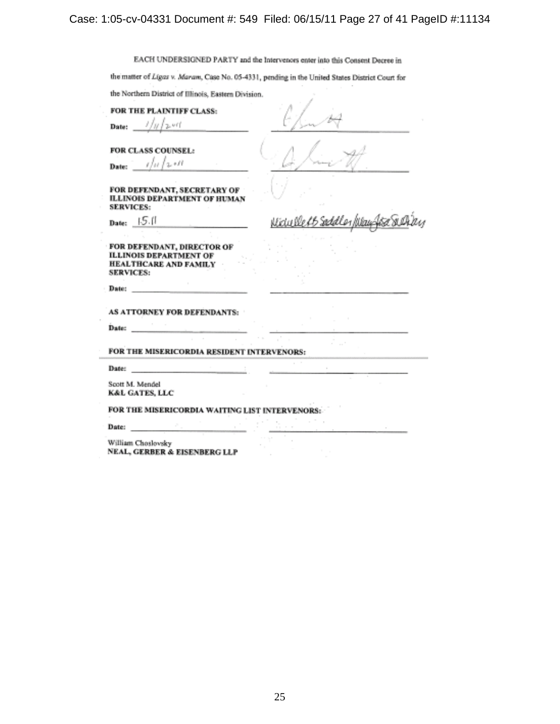# Case: 1:05-cv-04331 Document #: 549 Filed: 06/15/11 Page 27 of 41 PageID #:11134

EACH UNDERSIGNED PARTY and the Intervences enter into this Consent Decree in

the matter of Ligas v. Maram, Case No. 05-4331, pending in the United States District Court for

the Northern District of Illinois, Eastern Division.

FOR THE PLAINTIFF CLASS:

J.  $p,$ ett Date: ľω

FOR CLASS COUNSEL:

الاقتداء المار Date:

FOR DEFENDANT, SECRETARY OF **ILLINOIS DEPARTMENT OF HUMAN SERVICES:** 

Date: **15.11** 

the West Shik

FOR DEFENDANT, DIRECTOR OF **ILLINOIS DEPARTMENT OF** HEALTHCARE AND FAMILY SERVICES:

Date:

AS ATTORNEY FOR DEFENDANTS:

Date:

FOR THE MISERICORDIA RESIDENT INTERVENORS:

Date:

Scott M. Mendel **K&L GATES, LLC** 

FOR THE MISERICORDIA WAITING LIST INTERVENORS:

Date:

William Choslovsky NEAL, GERBER & EISENBERG LLP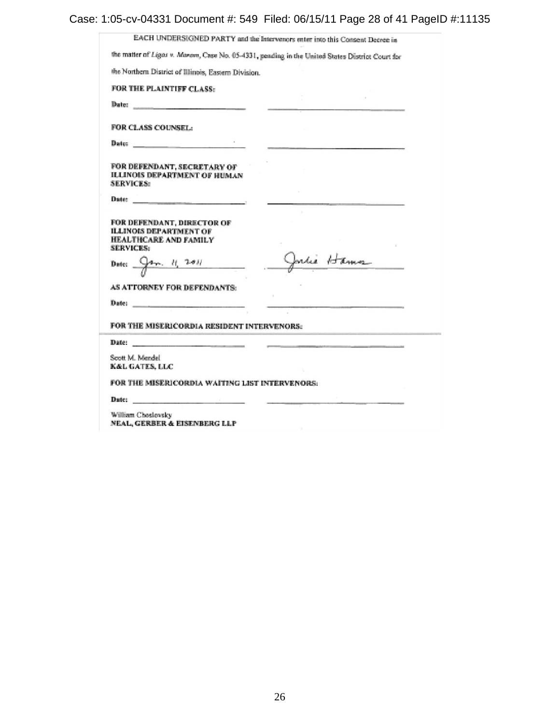Case: 1:05-cv-04331 Document #: 549 Filed: 06/15/11 Page 28 of 41 PageID #:11135

| the Northern District of Illinois, Eastern Division.                                                                                                                                                                           |            |
|--------------------------------------------------------------------------------------------------------------------------------------------------------------------------------------------------------------------------------|------------|
| FOR THE PLAINTIFF CLASS:                                                                                                                                                                                                       |            |
| Date: Date:                                                                                                                                                                                                                    |            |
| FOR CLASS COUNSEL:                                                                                                                                                                                                             |            |
|                                                                                                                                                                                                                                |            |
| FOR DEFENDANT, SECRETARY OF<br><b>ILLINOIS DEPARTMENT OF HUMAN</b><br><b>SERVICES:</b>                                                                                                                                         |            |
|                                                                                                                                                                                                                                |            |
| FOR DEFENDANT, DIRECTOR OF<br><b>ILLINOIS DEPARTMENT OF</b><br>HEALTHCARE AND FAMILY<br><b>SERVICES:</b>                                                                                                                       |            |
| Date: $94. 11.201$                                                                                                                                                                                                             | Julie Hamn |
| AS ATTORNEY FOR DEFENDANTS:                                                                                                                                                                                                    |            |
| Date: https://www.com/communications/communications/communications/communications/communications/communications/communications/communications/communications/communications/communications/communications/communications/commu |            |
| FOR THE MISERICORDIA RESIDENT INTERVENORS:                                                                                                                                                                                     |            |
| Date: http://www.com/communications/communications/communications/communications/communications/communications/communications/communications/communications/communications/communications/communications/communications/commun |            |
| Scott M. Mandel<br><b>K&amp;L GATES, LLC</b>                                                                                                                                                                                   |            |

NEAL, GERBER & EISENBERG LLP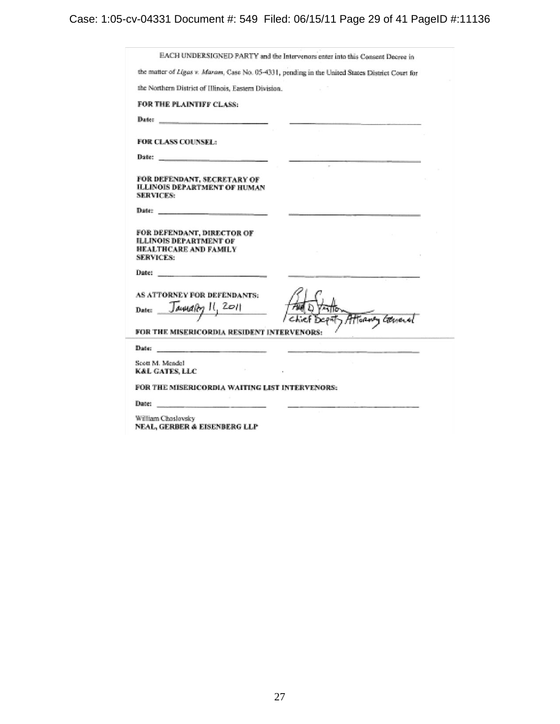Case: 1:05-cv-04331 Document #: 549 Filed: 06/15/11 Page 29 of 41 PageID #:11136

| the matter of Ligas v. Maram, Case No. 05-4331, pending in the United States District Court for                  |                 |
|------------------------------------------------------------------------------------------------------------------|-----------------|
| the Northern District of Illinois, Eastern Division.                                                             |                 |
| FOR THE PLAINTIFF CLASS:                                                                                         |                 |
|                                                                                                                  |                 |
| FOR CLASS COUNSEL:                                                                                               |                 |
|                                                                                                                  |                 |
| FOR DEFENDANT, SECRETARY OF<br><b>ILLINOIS DEPARTMENT OF HUMAN</b><br><b>SERVICES:</b>                           |                 |
| Date: New York (2012) 2013                                                                                       |                 |
| FOR DEFENDANT, DIRECTOR OF<br><b>ILLINOIS DEPARTMENT OF</b><br>HEALTHCARE AND FAMILY<br><b>SERVICES:</b>         |                 |
| Date: $\qquad \qquad$                                                                                            |                 |
| AS ATTORNEY FOR DEFENDANTS:<br>Januaro II, 2011<br>Date:                                                         | Torony Corneral |
| FOR THE MISERICORDIA RESIDENT INTERVENORS:                                                                       |                 |
| Date: https://www.com/communications/communications/communications/communications/communications/communications/ |                 |
| Scott M. Mendel<br><b>K&amp;L GATES, LLC</b>                                                                     |                 |
| FOR THE MISERICORDIA WAITING LIST INTERVENORS:                                                                   |                 |
|                                                                                                                  |                 |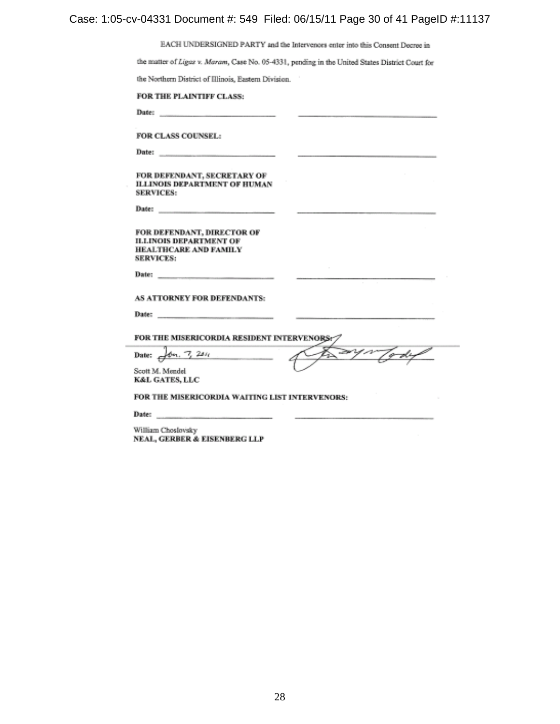# Case: 1:05-cv-04331 Document #: 549 Filed: 06/15/11 Page 30 of 41 PageID #:11137

EACH UNDERSIGNED PARTY and the Intervenors enter into this Consent Decree in

 $\sim$ 

the matter of Ligaz v. Maram, Case No. 05-4331, pending in the United States District Court for

the Northern District of Illinois, Eastern Division.

| FOR THE PLAINTIFF CLASS: |  |  |
|--------------------------|--|--|
|--------------------------|--|--|

FOR CLASS COUNSEL:

Date:

Date:

FOR DEFENDANT, SECRETARY OF **ILLINOIS DEPARTMENT OF HUMAN SERVICES:** 

Date:

FOR DEFENDANT, DIRECTOR OF **ILLINOIS DEPARTMENT OF** HEALTHCARE AND FAMILY **SERVICES:** 

Date:

AS ATTORNEY FOR DEFENDANTS:

Date:

FOR THE MISERICORDIA RESIDENT INTERVENORS:

Date:  $\frac{1}{\sqrt{2}}$   $\frac{1}{2}$   $\frac{2}{3}$ 

and a stronger e-du ಾ

Scott M. Mendel K&L GATES, LLC

FOR THE MISERICORDIA WAITING LIST INTERVENORS:

Date:

William Choslovsky NEAL, GERBER & EISENBERG LLP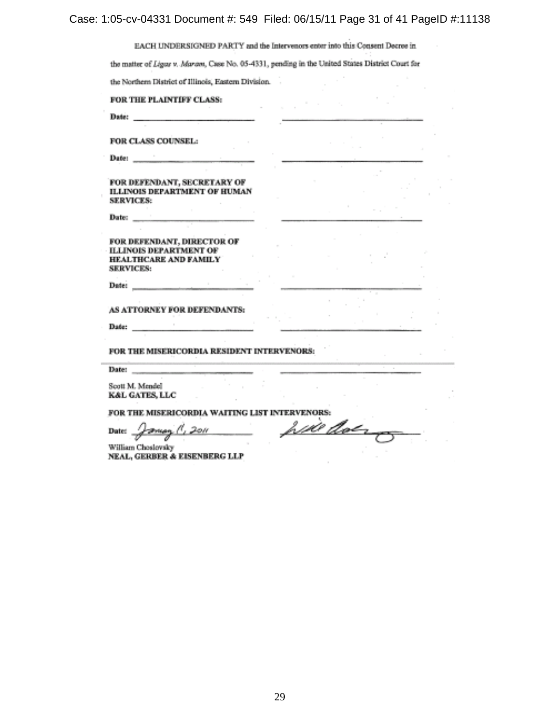Case: 1:05-cv-04331 Document #: 549 Filed: 06/15/11 Page 31 of 41 PageID #:11138

| the Northern District of Illinois, Eastern Division.<br>FOR THE PLAINTIFF CLASS:                                                                                                                                                                                             |           |  |
|------------------------------------------------------------------------------------------------------------------------------------------------------------------------------------------------------------------------------------------------------------------------------|-----------|--|
| Date: https://www.com/communications/communications/communications/communications/communications/communications/communications/communications/communications/communications/communications/communications/communications/commu                                               |           |  |
|                                                                                                                                                                                                                                                                              |           |  |
| FOR CLASS COUNSEL.                                                                                                                                                                                                                                                           |           |  |
|                                                                                                                                                                                                                                                                              |           |  |
| FOR DEFENDANT, SECRETARY OF<br>ILLINOIS DEPARTMENT OF HUMAN<br><b>SERVICES:</b>                                                                                                                                                                                              |           |  |
|                                                                                                                                                                                                                                                                              |           |  |
| FOR DEFENDANT, DIRECTOR OF<br><b>ILLINOIS DEPARTMENT OF</b>                                                                                                                                                                                                                  |           |  |
| HEALTHCARE AND EAMILY<br>SERVICES:                                                                                                                                                                                                                                           |           |  |
| Datei                                                                                                                                                                                                                                                                        |           |  |
| AS ATTORNEY FOR DEFENDANTS:                                                                                                                                                                                                                                                  |           |  |
| Date: http://www.com/communications/                                                                                                                                                                                                                                         |           |  |
| FOR THE MISERICORDIA RESIDENT INTERVENORS:<br>and the company of the company of the company of the company of the company of the company of the company of the company of the company of the company of the company of the company of the company of the company of the comp |           |  |
| Date:                                                                                                                                                                                                                                                                        |           |  |
| Scott M. Mendel<br>KAL GATES, LLC                                                                                                                                                                                                                                            |           |  |
| FOR THE MISERICORDIA WAITING LIST INTERVENORS:                                                                                                                                                                                                                               |           |  |
| Date: $\frac{1}{\sqrt{2\pi\omega_0}}$ (1, 2011)                                                                                                                                                                                                                              | will dong |  |
| William Choslovsky<br>NEAL, GERBER & EISENBERG LLP                                                                                                                                                                                                                           |           |  |
|                                                                                                                                                                                                                                                                              |           |  |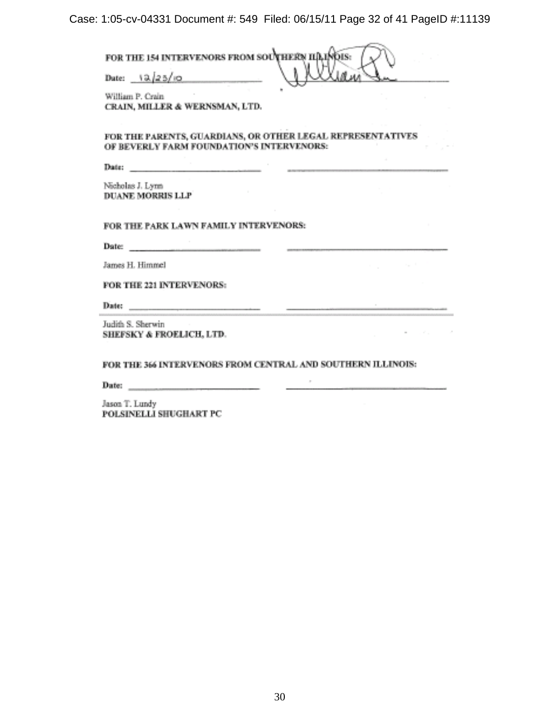Case: 1:05-cv-04331 Document #: 549 Filed: 06/15/11 Page 32 of 41 PageID #:11139

FOR THE 154 INTERVENORS FROM SOUTHERN IID INDIS: Date:  $12/25/10$ 

William P. Crain CRAIN, MILLER & WERNSMAN, LTD.

FOR THE PARENTS, GUARDIANS, OR OTHER LEGAL REPRESENTATIVES OF BEVERLY FARM FOUNDATION'S INTERVENORS:

Date: The Contract of the Contract of the Contract of the Contract of the Contract of the Contract of the Contract of the Contract of the Contract of the Contract of the Contract of the Contract of the Contract of the Cont

Nicholas J. Lynn DUANE MORRIS LLP

FOR THE PARK LAWN FAMILY INTERVENORS:

Date:

James H. Himmel

FOR THE 221 INTERVENORS:

Date:

Judith S. Sherwin SHEFSKY & FROELICH, LTD.

FOR THE 366 INTERVENORS FROM CENTRAL AND SOUTHERN ILLINOIS:

 $\alpha$ 

Date:  $\qquad \qquad$ 

Jason T. Lundy POLSINELLI SHUGHART PC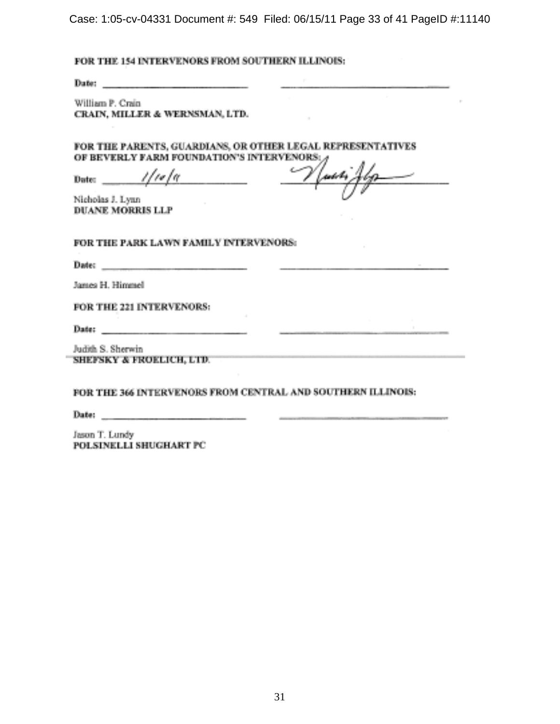Case: 1:05-cv-04331 Document #: 549 Filed: 06/15/11 Page 33 of 41 PageID #:11140

# FOR THE 154 INTERVENORS FROM SOUTHERN ILLINOIS:

William P. Crain CRAIN, MILLER & WERNSMAN, LTD.

FOR THE PARENTS, GUARDIANS, OR OTHER LEGAL REPRESENTATIVES OF BEVERLY FARM FOUNDATION'S INTERVENORS:

11 ro 1 a Dute: \_\_\_\_\_

Nicholas J. Lynn **DUANE MORRIS LLP** 

FOR THE PARK LAWN FAMILY INTERVENORS:

Date:  $\qquad$ 

James H. Himmel

FOR THE 221 INTERVENORS:

Date: \_\_\_\_\_\_\_\_\_\_\_

Judith S. Sherwin SHEFSKY & FROELICH, LTD.

FOR THE 366 INTERVENORS FROM CENTRAL AND SOUTHERN ILLINOIS:

 $\sim$ 

 $\frac{1}{2} \left( \frac{1}{2} \right) \left( \frac{1}{2} \right) \left( \frac{1}{2} \right) \left( \frac{1}{2} \right) \left( \frac{1}{2} \right) \left( \frac{1}{2} \right) \left( \frac{1}{2} \right) \left( \frac{1}{2} \right) \left( \frac{1}{2} \right) \left( \frac{1}{2} \right) \left( \frac{1}{2} \right) \left( \frac{1}{2} \right) \left( \frac{1}{2} \right) \left( \frac{1}{2} \right) \left( \frac{1}{2} \right) \left( \frac{1}{2} \right) \left( \frac$ 

Date:  $\qquad \qquad$ 

Jason T. Lundy POLSINELLI SHUGHART PC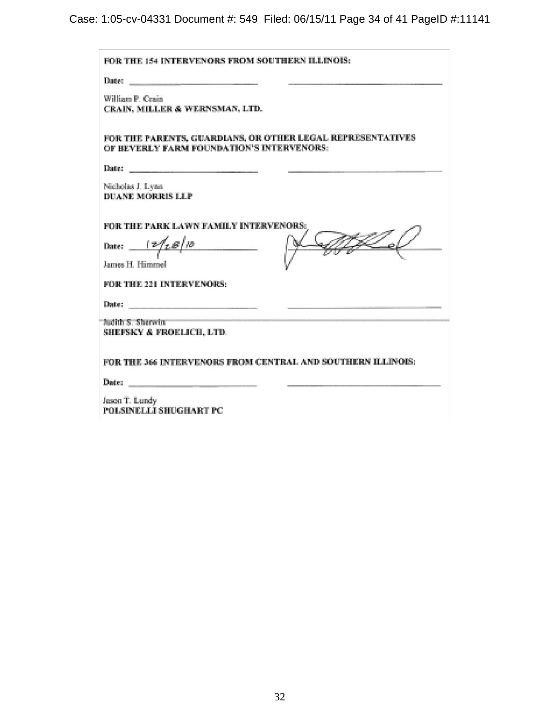Case: 1:05-cv-04331 Document #: 549 Filed: 06/15/11 Page 34 of 41 PageID #:11141

| FOR THE 154 INTERVENORS FROM SOUTHERN ILLINOIS:                                                                                                                                                                                |  |
|--------------------------------------------------------------------------------------------------------------------------------------------------------------------------------------------------------------------------------|--|
|                                                                                                                                                                                                                                |  |
| William P. Crain<br>CRAIN, MILLER & WERNSMAN, LTD.                                                                                                                                                                             |  |
| FOR THE PARENTS, GUARDIANS, OR OTHER LEGAL REPRESENTATIVES<br>OF REVERLY FARM FOUNDATION'S INTERVENORS:                                                                                                                        |  |
| Date: https://www.com/communications/communications/communications/communications/communications/communications/communications/communications/communications/communications/communications/communications/communications/commu |  |
| Nicholas J. Lynn<br><b>DUANE MORRIS LLP</b>                                                                                                                                                                                    |  |
| FOR THE PARK LAWN FAMILY INTERVENORS:<br>Date: $\frac{1}{2}$ $\frac{1}{2}$ $\frac{1}{2}$ $\frac{1}{2}$<br><b>James H Himmel</b>                                                                                                |  |
| FOR THE 221 INTERVENORS:                                                                                                                                                                                                       |  |
|                                                                                                                                                                                                                                |  |
| Judith S. Sherwin<br><b>SHEFSKY &amp; FROELICH, LTD.</b>                                                                                                                                                                       |  |
| FOR THE 366 INTERVENORS FROM CENTRAL AND SOUTHERN ILLINOIS:                                                                                                                                                                    |  |
|                                                                                                                                                                                                                                |  |
| Jason T. Lundy<br>POLSINELLI SHUGHART PC                                                                                                                                                                                       |  |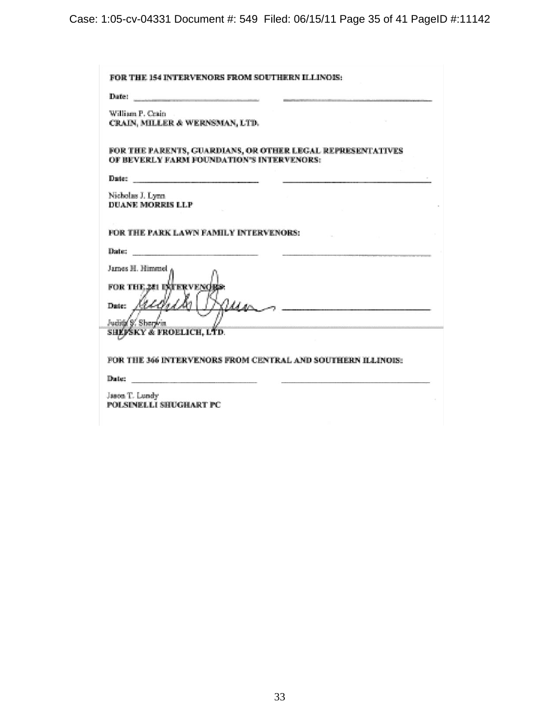Case: 1:05-cv-04331 Document #: 549 Filed: 06/15/11 Page 35 of 41 PageID #:11142

| Date: https://www.com/communications/communications/communications/communications/communications/communications/communications/communications/communications/communications/communications/communications/communications/commu |                                                             |
|--------------------------------------------------------------------------------------------------------------------------------------------------------------------------------------------------------------------------------|-------------------------------------------------------------|
| William P. Crain                                                                                                                                                                                                               |                                                             |
| CRAIN, MILLER & WERNSMAN, LTD.                                                                                                                                                                                                 |                                                             |
|                                                                                                                                                                                                                                |                                                             |
|                                                                                                                                                                                                                                | FOR THE PARENTS, GUARDIANS, OR OTHER LEGAL REPRESENTATIVES  |
| OF BEVERLY FARM FOUNDATION'S INTERVENORS:                                                                                                                                                                                      |                                                             |
| Date:                                                                                                                                                                                                                          |                                                             |
| Nicholas J. Lynn                                                                                                                                                                                                               |                                                             |
| <b>DUANE MORRIS LLP</b>                                                                                                                                                                                                        |                                                             |
|                                                                                                                                                                                                                                |                                                             |
| FOR THE PARK LAWN FAMILY INTERVENORS:                                                                                                                                                                                          |                                                             |
| Date: Date:                                                                                                                                                                                                                    |                                                             |
| James H. Himmel                                                                                                                                                                                                                |                                                             |
|                                                                                                                                                                                                                                |                                                             |
| FOR THE 201 INTERVENCE                                                                                                                                                                                                         |                                                             |
| Date: Albert                                                                                                                                                                                                                   | $\mu_{\text{AC}}$                                           |
| Judits S. Sherwin                                                                                                                                                                                                              |                                                             |
| SHEPSKY & FROELICH, LTD.                                                                                                                                                                                                       |                                                             |
|                                                                                                                                                                                                                                |                                                             |
|                                                                                                                                                                                                                                | FOR THE 366 INTERVENORS FROM CENTRAL AND SOUTHERN ILLINOIS: |
| Date:<br>the company of the company of the company of the company of the company of                                                                                                                                            |                                                             |
|                                                                                                                                                                                                                                |                                                             |
| Jason T. Lundy<br>POLSINELLI SHUGHART PC                                                                                                                                                                                       |                                                             |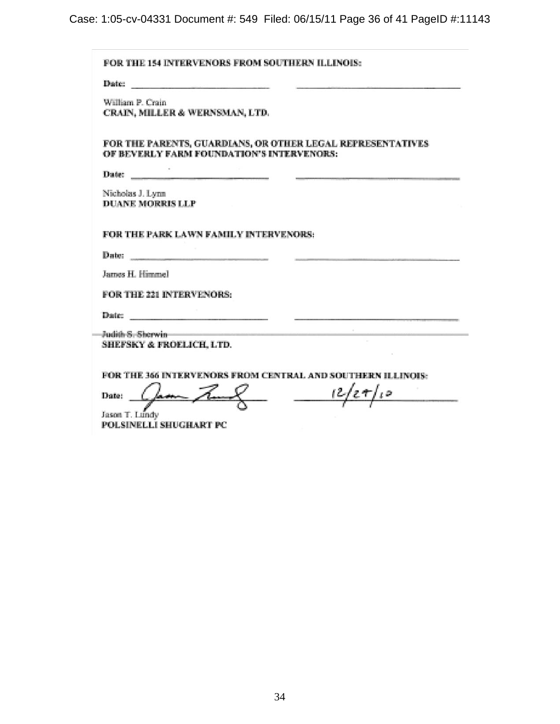Case: 1:05-cv-04331 Document #: 549 Filed: 06/15/11 Page 36 of 41 PageID #:11143

| William P. Crain                            | CRAIN, MILLER & WERNSMAN, LTD.                                                                                                                                                                                                 |
|---------------------------------------------|--------------------------------------------------------------------------------------------------------------------------------------------------------------------------------------------------------------------------------|
|                                             | FOR THE PARENTS, GUARDIANS, OR OTHER LEGAL REPRESENTATIVES<br>OF BEVERLY FARM FOUNDATION'S INTERVENORS:                                                                                                                        |
|                                             |                                                                                                                                                                                                                                |
| Nicholas J. Lynn<br><b>DUANE MORRIS LLP</b> |                                                                                                                                                                                                                                |
|                                             | FOR THE PARK LAWN FAMILY INTERVENORS:                                                                                                                                                                                          |
|                                             | Date: <b>Date: Date: Date: Partnership</b>                                                                                                                                                                                     |
| James H. Himmel                             |                                                                                                                                                                                                                                |
|                                             | FOR THE 221 INTERVENORS:                                                                                                                                                                                                       |
|                                             | Date: No. 1996. The Contract of the Contract of the Contract of the Contract of the Contract of the Contract of the Contract of the Contract of the Contract of the Contract of the Contract of the Contract of the Contract o |
|                                             | Judith S. Sherwin and the contract of the contract of the contract of the contract of the contract of the contract of the contract of the contract of the contract of the contract of the contract of the contract of the cont |
|                                             | SHEFSKY & FROELICH, LTD.                                                                                                                                                                                                       |
|                                             |                                                                                                                                                                                                                                |
|                                             | FOR THE 366 INTERVENORS FROM CENTRAL AND SOUTHERN ILLINOIS:                                                                                                                                                                    |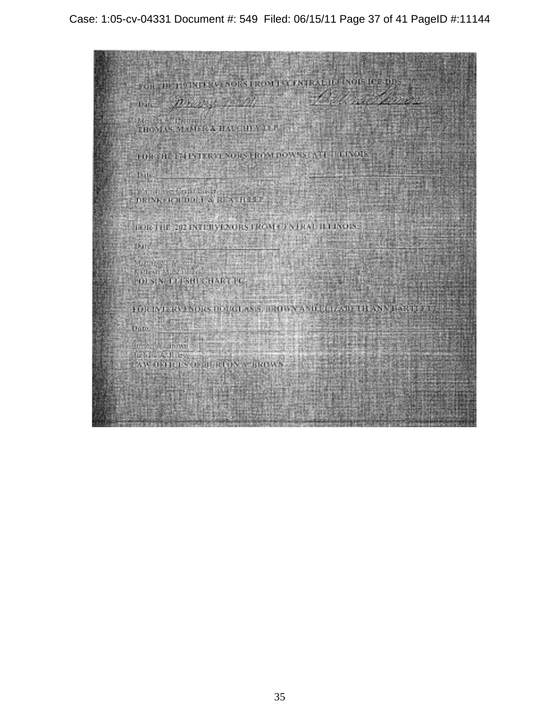Case: 1:05-cv-04331 Document #: 549 Filed: 06/15/11 Page 37 of 41 PageID #:11144

FOR THE PERTENT NORSKEON FOR PATRAL III (NOTS ICE DESS)  $v_{\text{obs}} = \sqrt{2/\lambda}$ Melket Actheme THOMAS, MANIFE & HAUGHEY JUP THE CHE THE TELEPHONE NORSERON DOWNS NUCLEI VIOLET Dates  $\begin{smallmatrix} \text{Diff}(\mathbf{Y},\mathbf{r},\mathbf{r},\mathbf{r},\mathbf{r},\mathbf{r},\mathbf{r},\mathbf{r},\mathbf{r},\mathbf{r},\mathbf{r},\mathbf{r},\mathbf{r},\mathbf{r},\mathbf{r},\mathbf{r},\mathbf{r},\mathbf{r},\mathbf{r},\mathbf{r},\mathbf{r},\mathbf{r},\mathbf{r},\mathbf{r},\mathbf{r},\mathbf{r},\mathbf{r},\mathbf{r},\mathbf{r},\mathbf{r},\mathbf{r},\mathbf{r},\mathbf{r},\mathbf{r},\mathbf{r$ **A PARTIES AND PROPERTY** HOICTHE 202 INTERVENORS FROM CENTRAL ILLINOUS.  $\mathrm{Dm}_\mathrm{c}^2$  (  $\mathrm{M}_\mathrm{c}^2$ 选择的  $\label{eq:1} \begin{array}{l} \text{Minkowski} \\ \text{Minkowski} \\ \text{Minkowski} \end{array}$  $1008$  K at 180 G back to  $\frac{1}{2}$  and  $\frac{1}{2}$  and  $\frac{1}{2}$  and  $\frac{1}{2}$ FOR INTERVENORS DOUGLASS, TROWN AND LOCATED FANNISOUS ET. Date.  $\limsup_{n\to\infty}\frac{1}{\lambda}\limsup_{n\to\infty}\frac{1}{n}\limsup_{n\to\infty}\frac{1}{n}\limsup_{n\to\infty}\frac{1}{n}\limsup_{n\to\infty}\frac{1}{n}$ Jedna A Kustania<br>Czw. okupcis so japaniczy w drony s 化碳酸盐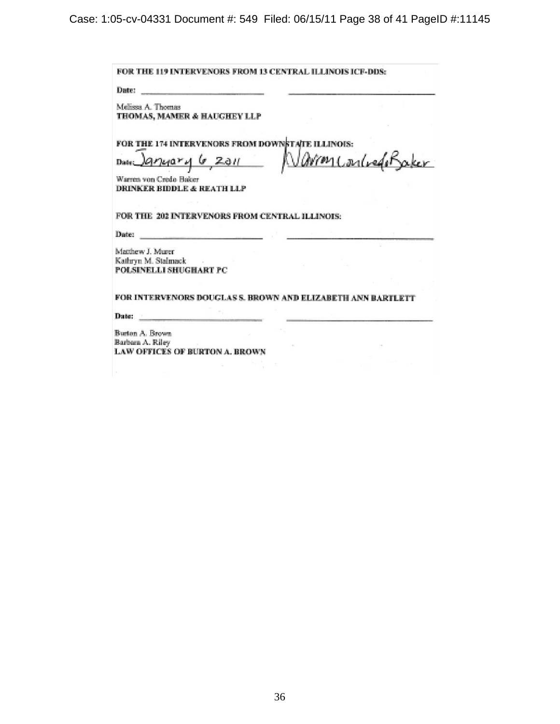FOR THE 119 INTERVENORS FROM 13 CENTRAL ILLINOIS ICF-DDS: Date: Melissa A. Thomas THOMAS, MAMER & HAUGHEY LLP FOR THE 174 INTERVENORS FROM DOWNSTATE ILLINOIS: arked Baker G 2011 m ( Date 74ar ้ฟ Warren von Credo Baker DRINKER BIDDLE & REATH LLP FOR THE 202 INTERVENORS FROM CENTRAL ILLINOIS: Date: Matthew J. Murer Kathryn M. Stalmack POLSINELLI SHUGHART PC FOR INTERVENORS DOUGLAS S. BROWN AND ELIZABETH ANN BARTLETT Dute: Burton A. Brown Barbara A. Riley LAW OFFICES OF BURTON A. BROWN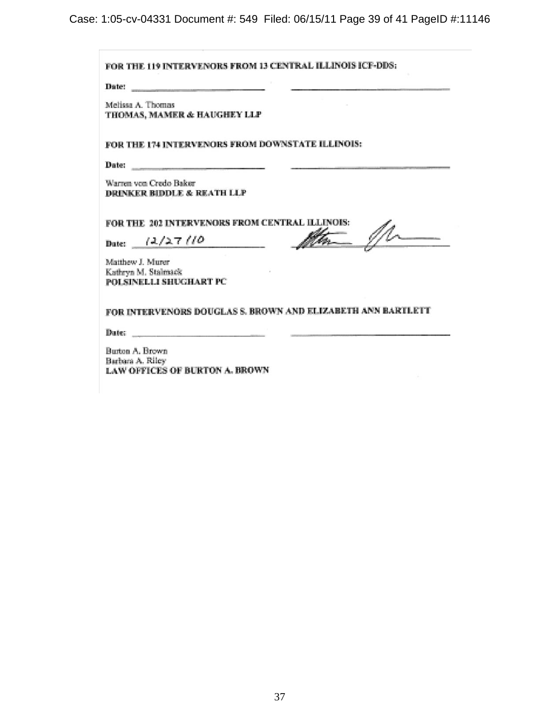Case: 1:05-cv-04331 Document #: 549 Filed: 06/15/11 Page 39 of 41 PageID #:11146

| Date: $\qquad \qquad$                                                                                                                                                                                                          |                                                             |
|--------------------------------------------------------------------------------------------------------------------------------------------------------------------------------------------------------------------------------|-------------------------------------------------------------|
| Melissa A. Thomas<br>THOMAS, MAMER & HAUGHEY LLP                                                                                                                                                                               |                                                             |
| FOR THE 174 INTERVENORS FROM DOWNSTATE ILLINOIS:                                                                                                                                                                               |                                                             |
| Date: https://www.com/communications/communications/communications/communications/communications/communications/communications/communications/communications/communications/communications/communications/communications/commu |                                                             |
| Warren von Credo Baker<br>DRINKER BIDDLE & REATH LLP                                                                                                                                                                           |                                                             |
| FOR THE 202 INTERVENORS FROM CENTRAL ILLINOIS:<br>Date: $(2/27/10$                                                                                                                                                             |                                                             |
| Matthew J. Murer                                                                                                                                                                                                               |                                                             |
| Kathryn M. Stalmack<br>POLSINELLI SHUGHART PC                                                                                                                                                                                  |                                                             |
|                                                                                                                                                                                                                                | FOR INTERVENORS DOUGLAS S. BROWN AND ELIZABETH ANN BARTLETT |
|                                                                                                                                                                                                                                |                                                             |
| Burton A. Brown                                                                                                                                                                                                                |                                                             |
| Barbara A. Riley                                                                                                                                                                                                               |                                                             |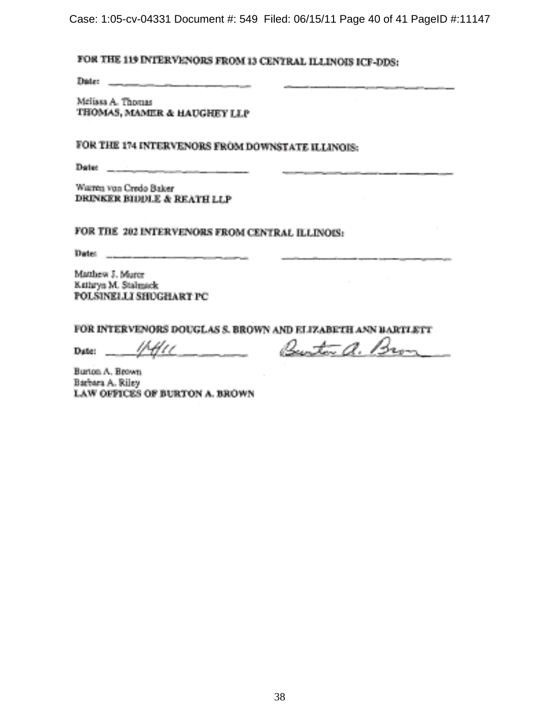Case: 1:05-cv-04331 Document #: 549 Filed: 06/15/11 Page 40 of 41 PageID #:11147

# FOR THE 119 INTERVENORS FROM 13 CENTRAL ILLINOIS ICF-DDS:

**The Committee of the Committee** 

Melissa A. Thomas THOMAS, MAMER & HAUGHEY LLP

FOR THE 174 INTERVENORS FROM DOWNSTATE ILLINOIS:

Date: \_\_\_\_\_\_\_\_\_

Warnen von Credo Baker DRINKER BIDDLE & REATH LLP

FOR THE 202 INTERVENORS FROM CENTRAL ILLINOIS:

Matthew J. Murer Kathryn M. Stalmack POLSINELLI SHUGHART PC

FOR INTERVENORS DOUGLAS S. BROWN AND ELIZABETH ANN BARTLETT

けみレー Date:

Burton a. Bron

Burton A. Brown. Barbara A. Riley LAW OFFICES OF BURTON A. BROWN